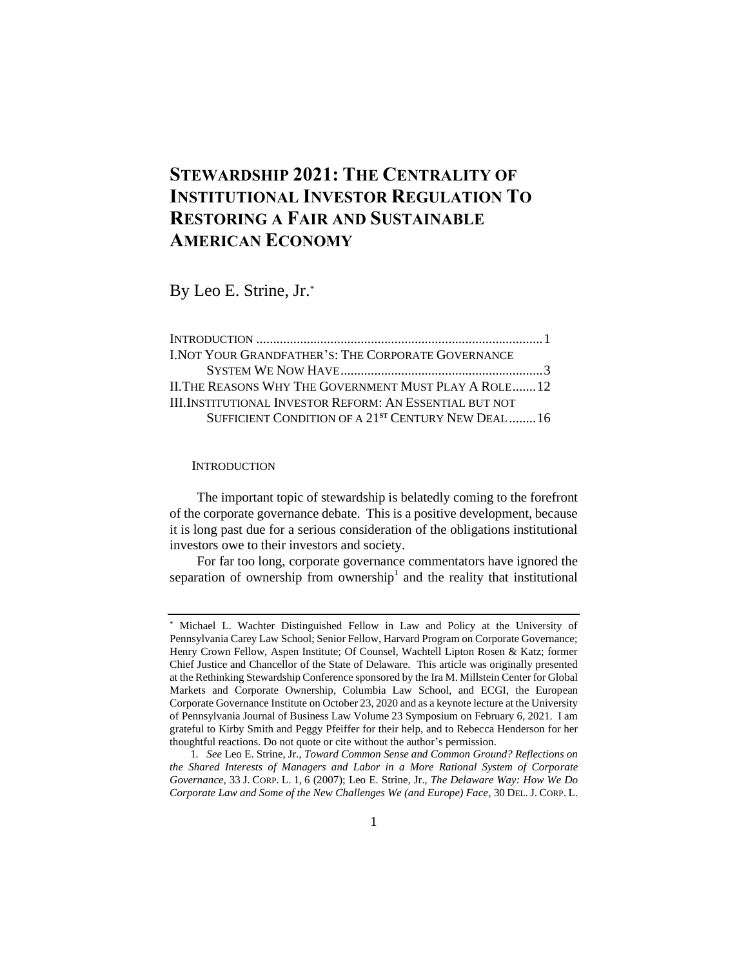# **STEWARDSHIP 2021: THE CENTRALITY OF INSTITUTIONAL INVESTOR REGULATION TO RESTORING A FAIR AND SUSTAINABLE AMERICAN ECONOMY**

By Leo E. Strine, Jr.\*

| I. NOT YOUR GRANDFATHER'S: THE CORPORATE GOVERNANCE            |  |
|----------------------------------------------------------------|--|
|                                                                |  |
| II. THE REASONS WHY THE GOVERNMENT MUST PLAY A ROLE 12         |  |
| III.INSTITUTIONAL INVESTOR REFORM: AN ESSENTIAL BUT NOT        |  |
| SUFFICIENT CONDITION OF A 21 <sup>st</sup> CENTURY NEW DEAL 16 |  |

#### **INTRODUCTION**

The important topic of stewardship is belatedly coming to the forefront of the corporate governance debate. This is a positive development, because it is long past due for a serious consideration of the obligations institutional investors owe to their investors and society.

For far too long, corporate governance commentators have ignored the separation of ownership from ownership<sup>1</sup> and the reality that institutional

Michael L. Wachter Distinguished Fellow in Law and Policy at the University of Pennsylvania Carey Law School; Senior Fellow, Harvard Program on Corporate Governance; Henry Crown Fellow, Aspen Institute; Of Counsel, Wachtell Lipton Rosen & Katz; former Chief Justice and Chancellor of the State of Delaware. This article was originally presented at the Rethinking Stewardship Conference sponsored by the Ira M. Millstein Center for Global Markets and Corporate Ownership, Columbia Law School, and ECGI, the European Corporate Governance Institute on October 23, 2020 and as a keynote lecture at the University of Pennsylvania Journal of Business Law Volume 23 Symposium on February 6, 2021. I am grateful to Kirby Smith and Peggy Pfeiffer for their help, and to Rebecca Henderson for her thoughtful reactions. Do not quote or cite without the author's permission.

<sup>1</sup>*. See* Leo E. Strine, Jr., *Toward Common Sense and Common Ground? Reflections on the Shared Interests of Managers and Labor in a More Rational System of Corporate Governance*, 33 J. CORP. L. 1, 6 (2007); Leo E. Strine, Jr., *The Delaware Way: How We Do Corporate Law and Some of the New Challenges We (and Europe) Face*, 30 DEL. J. CORP. L.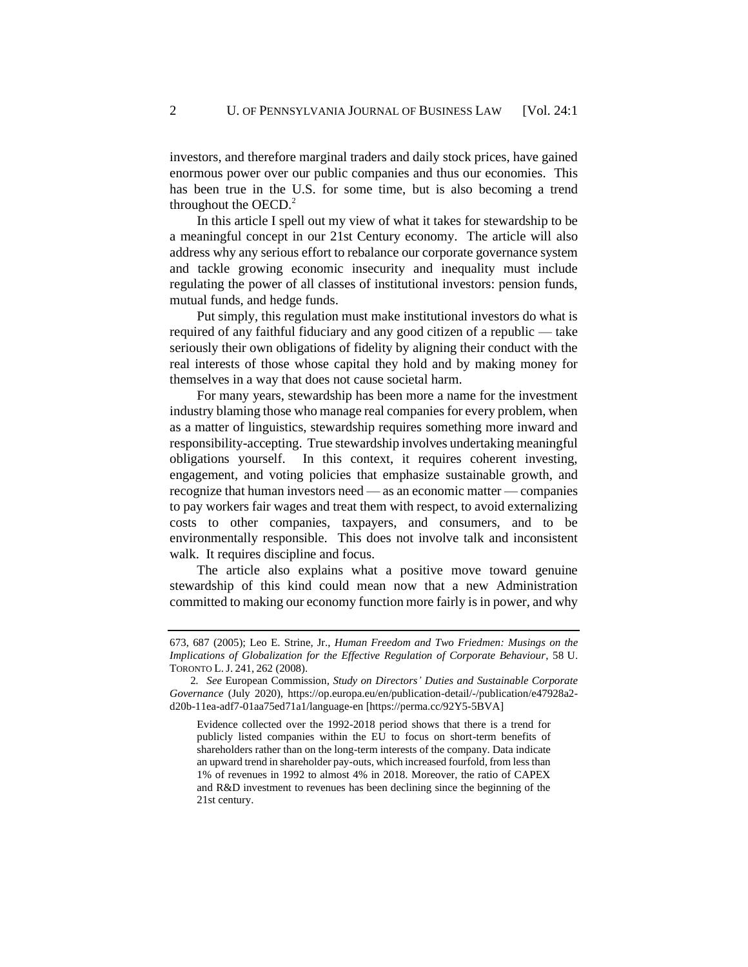investors, and therefore marginal traders and daily stock prices, have gained enormous power over our public companies and thus our economies. This has been true in the U.S. for some time, but is also becoming a trend throughout the OECD. $<sup>2</sup>$ </sup>

In this article I spell out my view of what it takes for stewardship to be a meaningful concept in our 21st Century economy. The article will also address why any serious effort to rebalance our corporate governance system and tackle growing economic insecurity and inequality must include regulating the power of all classes of institutional investors: pension funds, mutual funds, and hedge funds.

Put simply, this regulation must make institutional investors do what is required of any faithful fiduciary and any good citizen of a republic — take seriously their own obligations of fidelity by aligning their conduct with the real interests of those whose capital they hold and by making money for themselves in a way that does not cause societal harm.

For many years, stewardship has been more a name for the investment industry blaming those who manage real companies for every problem, when as a matter of linguistics, stewardship requires something more inward and responsibility-accepting. True stewardship involves undertaking meaningful obligations yourself. In this context, it requires coherent investing, engagement, and voting policies that emphasize sustainable growth, and recognize that human investors need — as an economic matter — companies to pay workers fair wages and treat them with respect, to avoid externalizing costs to other companies, taxpayers, and consumers, and to be environmentally responsible. This does not involve talk and inconsistent walk. It requires discipline and focus.

The article also explains what a positive move toward genuine stewardship of this kind could mean now that a new Administration committed to making our economy function more fairly is in power, and why

<sup>673, 687 (2005);</sup> Leo E. Strine, Jr., *Human Freedom and Two Friedmen: Musings on the Implications of Globalization for the Effective Regulation of Corporate Behaviour*, 58 U. TORONTO L. J. 241, 262 (2008).

<sup>2</sup>*. See* European Commission*, Study on Directors' Duties and Sustainable Corporate Governance* (July 2020), https://op.europa.eu/en/publication-detail/-/publication/e47928a2 d20b-11ea-adf7-01aa75ed71a1/language-en [https://perma.cc/92Y5-5BVA]

Evidence collected over the 1992-2018 period shows that there is a trend for publicly listed companies within the EU to focus on short-term benefits of shareholders rather than on the long-term interests of the company. Data indicate an upward trend in shareholder pay-outs, which increased fourfold, from less than 1% of revenues in 1992 to almost 4% in 2018. Moreover, the ratio of CAPEX and R&D investment to revenues has been declining since the beginning of the 21st century.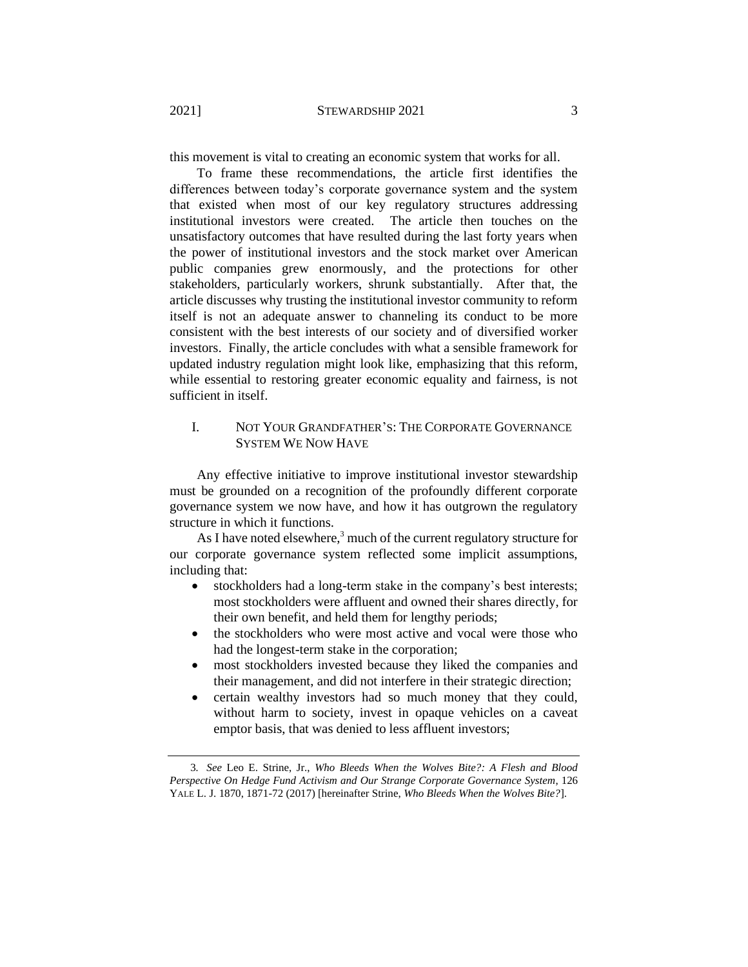this movement is vital to creating an economic system that works for all.

To frame these recommendations, the article first identifies the differences between today's corporate governance system and the system that existed when most of our key regulatory structures addressing institutional investors were created. The article then touches on the unsatisfactory outcomes that have resulted during the last forty years when the power of institutional investors and the stock market over American public companies grew enormously, and the protections for other stakeholders, particularly workers, shrunk substantially. After that, the article discusses why trusting the institutional investor community to reform itself is not an adequate answer to channeling its conduct to be more consistent with the best interests of our society and of diversified worker investors. Finally, the article concludes with what a sensible framework for updated industry regulation might look like, emphasizing that this reform, while essential to restoring greater economic equality and fairness, is not sufficient in itself.

## I. NOT YOUR GRANDFATHER'S: THE CORPORATE GOVERNANCE SYSTEM WE NOW HAVE

Any effective initiative to improve institutional investor stewardship must be grounded on a recognition of the profoundly different corporate governance system we now have, and how it has outgrown the regulatory structure in which it functions.

As I have noted elsewhere, $3$  much of the current regulatory structure for our corporate governance system reflected some implicit assumptions, including that:

- <span id="page-2-0"></span>• stockholders had a long-term stake in the company's best interests; most stockholders were affluent and owned their shares directly, for their own benefit, and held them for lengthy periods;
- the stockholders who were most active and vocal were those who had the longest-term stake in the corporation;
- most stockholders invested because they liked the companies and their management, and did not interfere in their strategic direction;
- certain wealthy investors had so much money that they could, without harm to society, invest in opaque vehicles on a caveat emptor basis, that was denied to less affluent investors;

<sup>3</sup>*. See* Leo E. Strine, Jr., *Who Bleeds When the Wolves Bite?: A Flesh and Blood Perspective On Hedge Fund Activism and Our Strange Corporate Governance System*, 126 YALE L. J. 1870, 1871-72 (2017) [hereinafter Strine, *Who Bleeds When the Wolves Bite?*].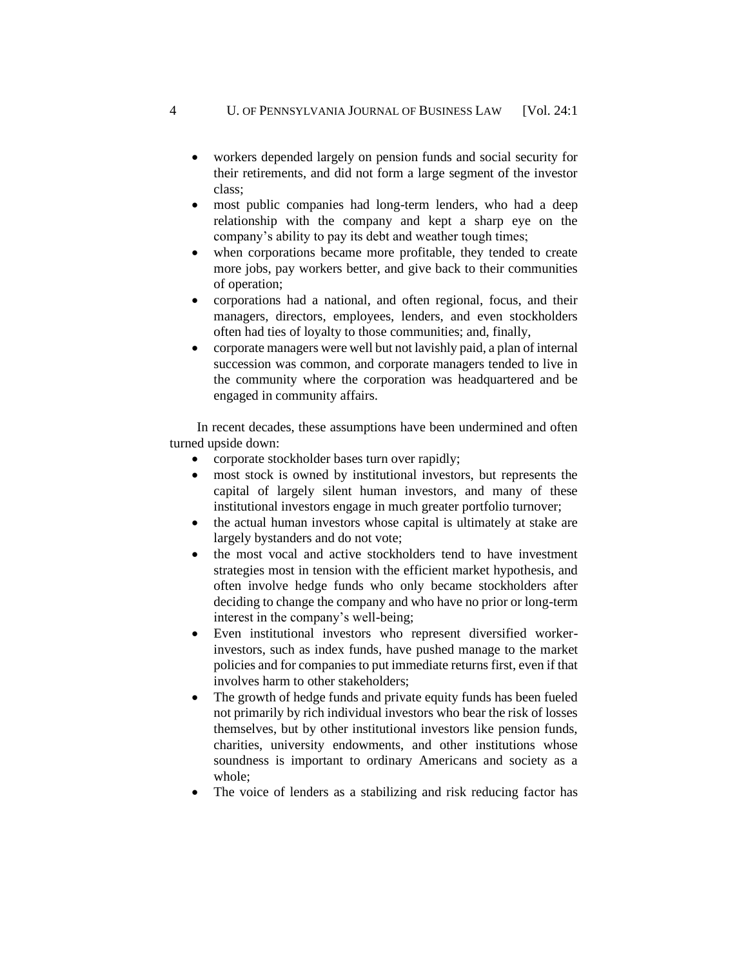- workers depended largely on pension funds and social security for their retirements, and did not form a large segment of the investor class;
- most public companies had long-term lenders, who had a deep relationship with the company and kept a sharp eye on the company's ability to pay its debt and weather tough times;
- when corporations became more profitable, they tended to create more jobs, pay workers better, and give back to their communities of operation;
- corporations had a national, and often regional, focus, and their managers, directors, employees, lenders, and even stockholders often had ties of loyalty to those communities; and, finally,
- corporate managers were well but not lavishly paid, a plan of internal succession was common, and corporate managers tended to live in the community where the corporation was headquartered and be engaged in community affairs.

In recent decades, these assumptions have been undermined and often turned upside down:

- corporate stockholder bases turn over rapidly;
- most stock is owned by institutional investors, but represents the capital of largely silent human investors, and many of these institutional investors engage in much greater portfolio turnover;
- the actual human investors whose capital is ultimately at stake are largely bystanders and do not vote;
- the most vocal and active stockholders tend to have investment strategies most in tension with the efficient market hypothesis, and often involve hedge funds who only became stockholders after deciding to change the company and who have no prior or long-term interest in the company's well-being;
- Even institutional investors who represent diversified workerinvestors, such as index funds, have pushed manage to the market policies and for companies to put immediate returns first, even if that involves harm to other stakeholders;
- The growth of hedge funds and private equity funds has been fueled not primarily by rich individual investors who bear the risk of losses themselves, but by other institutional investors like pension funds, charities, university endowments, and other institutions whose soundness is important to ordinary Americans and society as a whole;
- The voice of lenders as a stabilizing and risk reducing factor has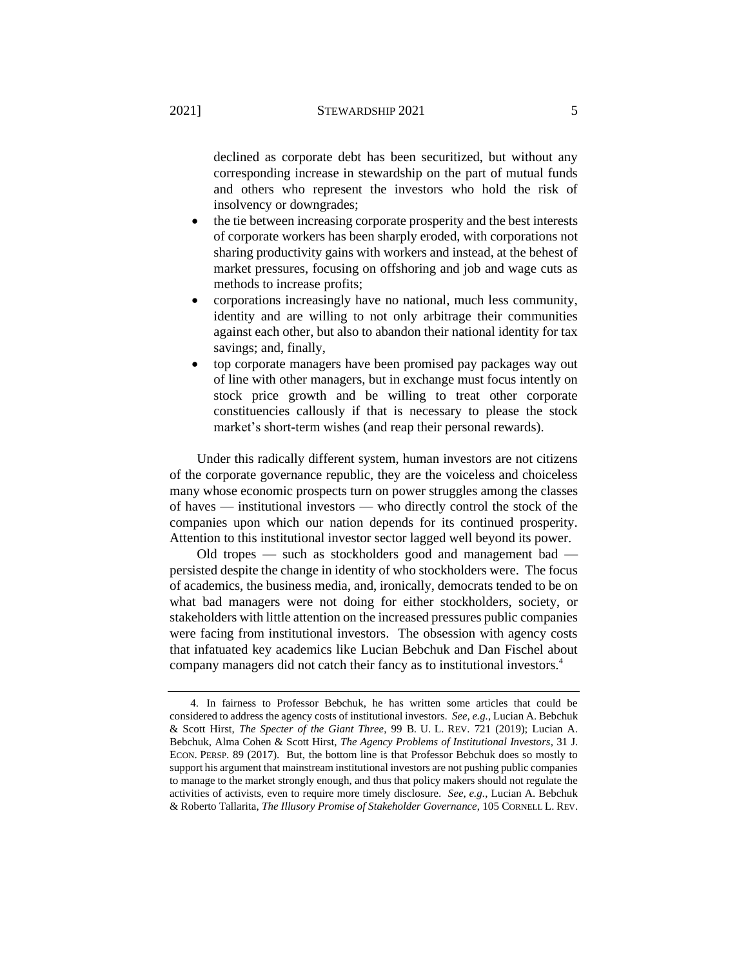declined as corporate debt has been securitized, but without any corresponding increase in stewardship on the part of mutual funds and others who represent the investors who hold the risk of insolvency or downgrades;

- the tie between increasing corporate prosperity and the best interests of corporate workers has been sharply eroded, with corporations not sharing productivity gains with workers and instead, at the behest of market pressures, focusing on offshoring and job and wage cuts as methods to increase profits;
- corporations increasingly have no national, much less community, identity and are willing to not only arbitrage their communities against each other, but also to abandon their national identity for tax savings; and, finally,
- top corporate managers have been promised pay packages way out of line with other managers, but in exchange must focus intently on stock price growth and be willing to treat other corporate constituencies callously if that is necessary to please the stock market's short-term wishes (and reap their personal rewards).

Under this radically different system, human investors are not citizens of the corporate governance republic, they are the voiceless and choiceless many whose economic prospects turn on power struggles among the classes of haves — institutional investors — who directly control the stock of the companies upon which our nation depends for its continued prosperity. Attention to this institutional investor sector lagged well beyond its power.

Old tropes — such as stockholders good and management bad persisted despite the change in identity of who stockholders were. The focus of academics, the business media, and, ironically, democrats tended to be on what bad managers were not doing for either stockholders, society, or stakeholders with little attention on the increased pressures public companies were facing from institutional investors. The obsession with agency costs that infatuated key academics like Lucian Bebchuk and Dan Fischel about company managers did not catch their fancy as to institutional investors.<sup>4</sup>

<sup>4.</sup> In fairness to Professor Bebchuk, he has written some articles that could be considered to address the agency costs of institutional investors. *See, e.g.*, Lucian A. Bebchuk & Scott Hirst, *The Specter of the Giant Three*, 99 B. U. L. REV. 721 (2019); Lucian A. Bebchuk, Alma Cohen & Scott Hirst, *The Agency Problems of Institutional Investors*, 31 J. ECON. PERSP. 89 (2017). But, the bottom line is that Professor Bebchuk does so mostly to support his argument that mainstream institutional investors are not pushing public companies to manage to the market strongly enough, and thus that policy makers should not regulate the activities of activists, even to require more timely disclosure. *See, e.g.*, Lucian A. Bebchuk & Roberto Tallarita, *The Illusory Promise of Stakeholder Governance*, 105 CORNELL L. REV.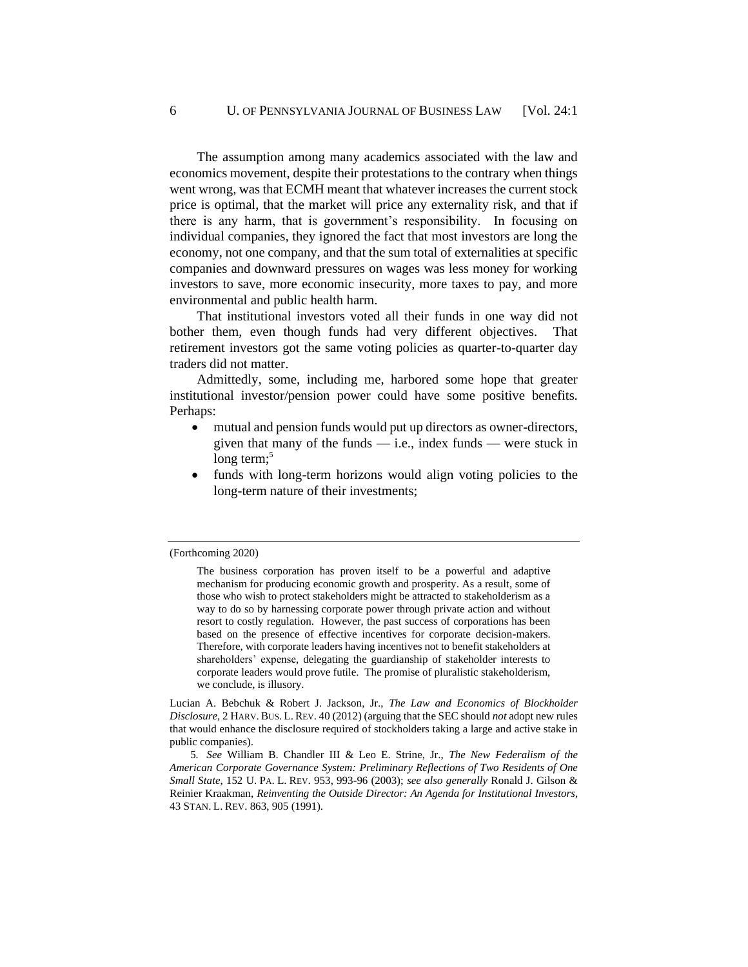The assumption among many academics associated with the law and economics movement, despite their protestations to the contrary when things went wrong, was that ECMH meant that whatever increases the current stock price is optimal, that the market will price any externality risk, and that if there is any harm, that is government's responsibility. In focusing on individual companies, they ignored the fact that most investors are long the economy, not one company, and that the sum total of externalities at specific companies and downward pressures on wages was less money for working investors to save, more economic insecurity, more taxes to pay, and more environmental and public health harm.

That institutional investors voted all their funds in one way did not bother them, even though funds had very different objectives. That retirement investors got the same voting policies as quarter-to-quarter day traders did not matter.

Admittedly, some, including me, harbored some hope that greater institutional investor/pension power could have some positive benefits. Perhaps:

- mutual and pension funds would put up directors as owner-directors, given that many of the funds — i.e., index funds — were stuck in long term: $5$
- funds with long-term horizons would align voting policies to the long-term nature of their investments;

Lucian A. Bebchuk & Robert J. Jackson, Jr., *The Law and Economics of Blockholder Disclosure*, 2 HARV. BUS. L. REV. 40 (2012) (arguing that the SEC should *not* adopt new rules that would enhance the disclosure required of stockholders taking a large and active stake in public companies).

5*. See* William B. Chandler III & Leo E. Strine, Jr., *The New Federalism of the American Corporate Governance System: Preliminary Reflections of Two Residents of One Small State*, 152 U. PA. L. REV. 953, 993-96 (2003); *see also generally* Ronald J. Gilson & Reinier Kraakman, *Reinventing the Outside Director: An Agenda for Institutional Investors*, 43 STAN. L. REV. 863, 905 (1991).

<sup>(</sup>Forthcoming 2020)

The business corporation has proven itself to be a powerful and adaptive mechanism for producing economic growth and prosperity. As a result, some of those who wish to protect stakeholders might be attracted to stakeholderism as a way to do so by harnessing corporate power through private action and without resort to costly regulation. However, the past success of corporations has been based on the presence of effective incentives for corporate decision-makers. Therefore, with corporate leaders having incentives not to benefit stakeholders at shareholders' expense, delegating the guardianship of stakeholder interests to corporate leaders would prove futile. The promise of pluralistic stakeholderism, we conclude, is illusory.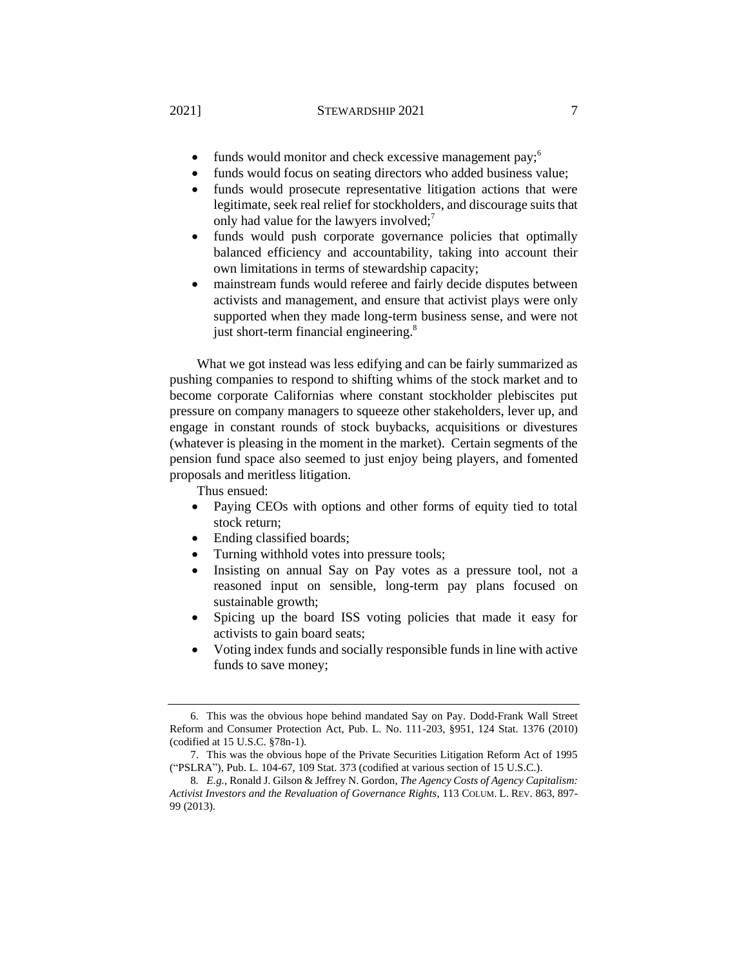#### 2021] **STEWARDSHIP 2021** 7

- funds would monitor and check excessive management pay;  $6\%$
- funds would focus on seating directors who added business value;
- funds would prosecute representative litigation actions that were legitimate, seek real relief for stockholders, and discourage suits that only had value for the lawyers involved; $\frac{7}{1}$
- funds would push corporate governance policies that optimally balanced efficiency and accountability, taking into account their own limitations in terms of stewardship capacity;
- mainstream funds would referee and fairly decide disputes between activists and management, and ensure that activist plays were only supported when they made long-term business sense, and were not just short-term financial engineering.<sup>8</sup>

What we got instead was less edifying and can be fairly summarized as pushing companies to respond to shifting whims of the stock market and to become corporate Californias where constant stockholder plebiscites put pressure on company managers to squeeze other stakeholders, lever up, and engage in constant rounds of stock buybacks, acquisitions or divestures (whatever is pleasing in the moment in the market). Certain segments of the pension fund space also seemed to just enjoy being players, and fomented proposals and meritless litigation.

Thus ensued:

- Paying CEOs with options and other forms of equity tied to total stock return;
- Ending classified boards;
- Turning withhold votes into pressure tools;
- Insisting on annual Say on Pay votes as a pressure tool, not a reasoned input on sensible, long-term pay plans focused on sustainable growth;
- Spicing up the board ISS voting policies that made it easy for activists to gain board seats;
- Voting index funds and socially responsible funds in line with active funds to save money;

<sup>6.</sup> This was the obvious hope behind mandated Say on Pay. Dodd-Frank Wall Street Reform and Consumer Protection Act, Pub. L. No. 111-203, §951, 124 Stat. 1376 (2010) (codified at 15 U.S.C. §78n-1).

<sup>7.</sup> This was the obvious hope of the Private Securities Litigation Reform Act of 1995 ("PSLRA"), Pub. L. 104-67, 109 Stat. 373 (codified at various section of 15 U.S.C.).

<sup>8</sup>*. E.g.*, Ronald J. Gilson & Jeffrey N. Gordon, *The Agency Costs of Agency Capitalism: Activist Investors and the Revaluation of Governance Rights*, 113 COLUM. L. REV. 863, 897- 99 (2013).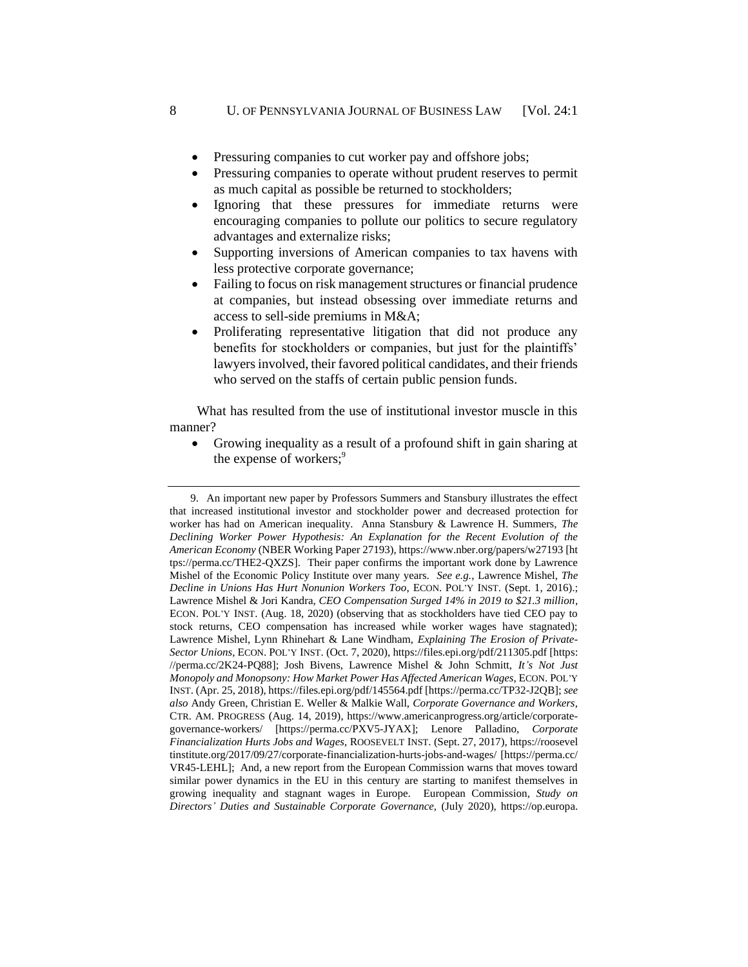- Pressuring companies to cut worker pay and offshore jobs;
- Pressuring companies to operate without prudent reserves to permit as much capital as possible be returned to stockholders;
- Ignoring that these pressures for immediate returns were encouraging companies to pollute our politics to secure regulatory advantages and externalize risks;
- Supporting inversions of American companies to tax havens with less protective corporate governance;
- Failing to focus on risk management structures or financial prudence at companies, but instead obsessing over immediate returns and access to sell-side premiums in M&A;
- Proliferating representative litigation that did not produce any benefits for stockholders or companies, but just for the plaintiffs' lawyers involved, their favored political candidates, and their friends who served on the staffs of certain public pension funds.

What has resulted from the use of institutional investor muscle in this manner?

• Growing inequality as a result of a profound shift in gain sharing at the expense of workers;<sup>9</sup>

<sup>9.</sup> An important new paper by Professors Summers and Stansbury illustrates the effect that increased institutional investor and stockholder power and decreased protection for worker has had on American inequality. Anna Stansbury & Lawrence H. Summers, *The Declining Worker Power Hypothesis: An Explanation for the Recent Evolution of the American Economy* (NBER Working Paper 27193), https://www.nber.org/papers/w27193 [ht tps://perma.cc/THE2-QXZS]. Their paper confirms the important work done by Lawrence Mishel of the Economic Policy Institute over many years. *See e.g.*, Lawrence Mishel, *The Decline in Unions Has Hurt Nonunion Workers Too*, ECON. POL'Y INST. (Sept. 1, 2016).; Lawrence Mishel & Jori Kandra, *CEO Compensation Surged 14% in 2019 to \$21.3 million*, ECON. POL'Y INST. (Aug. 18, 2020) (observing that as stockholders have tied CEO pay to stock returns, CEO compensation has increased while worker wages have stagnated); Lawrence Mishel, Lynn Rhinehart & Lane Windham, *Explaining The Erosion of Private-Sector Unions*, ECON. POL'Y INST. (Oct. 7, 2020), https://files.epi.org/pdf/211305.pdf [https: //perma.cc/2K24-PQ88]; Josh Bivens, Lawrence Mishel & John Schmitt, *It's Not Just Monopoly and Monopsony: How Market Power Has Affected American Wages*, ECON. POL'Y INST. (Apr. 25, 2018), https://files.epi.org/pdf/145564.pdf [https://perma.cc/TP32-J2QB]; *see also* Andy Green, Christian E. Weller & Malkie Wall, *Corporate Governance and Workers*, CTR. AM. PROGRESS (Aug. 14, 2019), https://www.americanprogress.org/article/corporategovernance-workers/ [https://perma.cc/PXV5-JYAX]; Lenore Palladino, *Corporate Financialization Hurts Jobs and Wages*, ROOSEVELT INST. (Sept. 27, 2017), https://roosevel tinstitute.org/2017/09/27/corporate-financialization-hurts-jobs-and-wages/ [https://perma.cc/ VR45-LEHL]; And, a new report from the European Commission warns that moves toward similar power dynamics in the EU in this century are starting to manifest themselves in growing inequality and stagnant wages in Europe. European Commission, *Study on Directors' Duties and Sustainable Corporate Governance,* (July 2020), https://op.europa.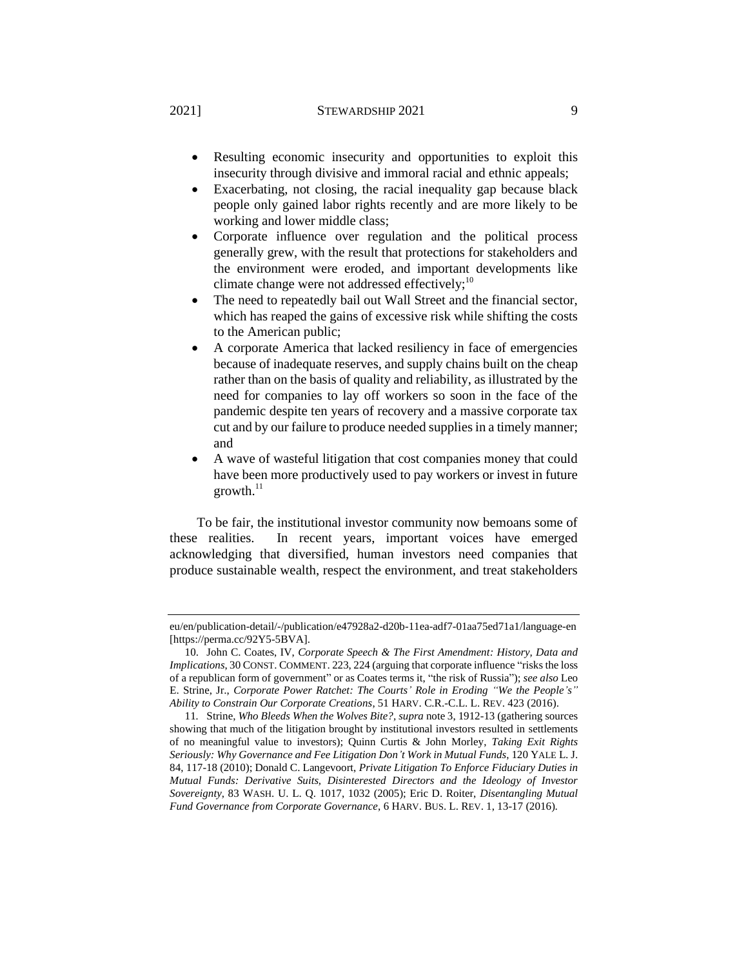#### 2021] STEWARDSHIP 2021 9

- Resulting economic insecurity and opportunities to exploit this insecurity through divisive and immoral racial and ethnic appeals;
- Exacerbating, not closing, the racial inequality gap because black people only gained labor rights recently and are more likely to be working and lower middle class;
- Corporate influence over regulation and the political process generally grew, with the result that protections for stakeholders and the environment were eroded, and important developments like climate change were not addressed effectively;<sup>10</sup>
- The need to repeatedly bail out Wall Street and the financial sector, which has reaped the gains of excessive risk while shifting the costs to the American public;
- A corporate America that lacked resiliency in face of emergencies because of inadequate reserves, and supply chains built on the cheap rather than on the basis of quality and reliability, as illustrated by the need for companies to lay off workers so soon in the face of the pandemic despite ten years of recovery and a massive corporate tax cut and by our failure to produce needed supplies in a timely manner; and
- A wave of wasteful litigation that cost companies money that could have been more productively used to pay workers or invest in future  $growth.<sup>11</sup>$

To be fair, the institutional investor community now bemoans some of these realities. In recent years, important voices have emerged acknowledging that diversified, human investors need companies that produce sustainable wealth, respect the environment, and treat stakeholders

eu/en/publication-detail/-/publication/e47928a2-d20b-11ea-adf7-01aa75ed71a1/language-en [https://perma.cc/92Y5-5BVA].

<sup>10.</sup> John C. Coates, IV, *Corporate Speech & The First Amendment: History, Data and Implications*, 30 CONST. COMMENT. 223, 224 (arguing that corporate influence "risks the loss of a republican form of government" or as Coates terms it, "the risk of Russia"); *see also* Leo E. Strine, Jr., *Corporate Power Ratchet: The Courts' Role in Eroding "We the People's" Ability to Constrain Our Corporate Creations*, 51 HARV. C.R.-C.L. L. REV. 423 (2016).

<sup>11</sup>*.* Strine, *Who Bleeds When the Wolves Bite?, supra* not[e 3,](#page-2-0) 1912-13 (gathering sources showing that much of the litigation brought by institutional investors resulted in settlements of no meaningful value to investors); Quinn Curtis & John Morley, *Taking Exit Rights Seriously: Why Governance and Fee Litigation Don't Work in Mutual Funds*, 120 YALE L. J. 84, 117-18 (2010); Donald C. Langevoort, *Private Litigation To Enforce Fiduciary Duties in Mutual Funds: Derivative Suits, Disinterested Directors and the Ideology of Investor Sovereignty*, 83 WASH. U. L. Q. 1017, 1032 (2005); Eric D. Roiter, *Disentangling Mutual Fund Governance from Corporate Governance*, 6 HARV. BUS. L. REV. 1, 13-17 (2016).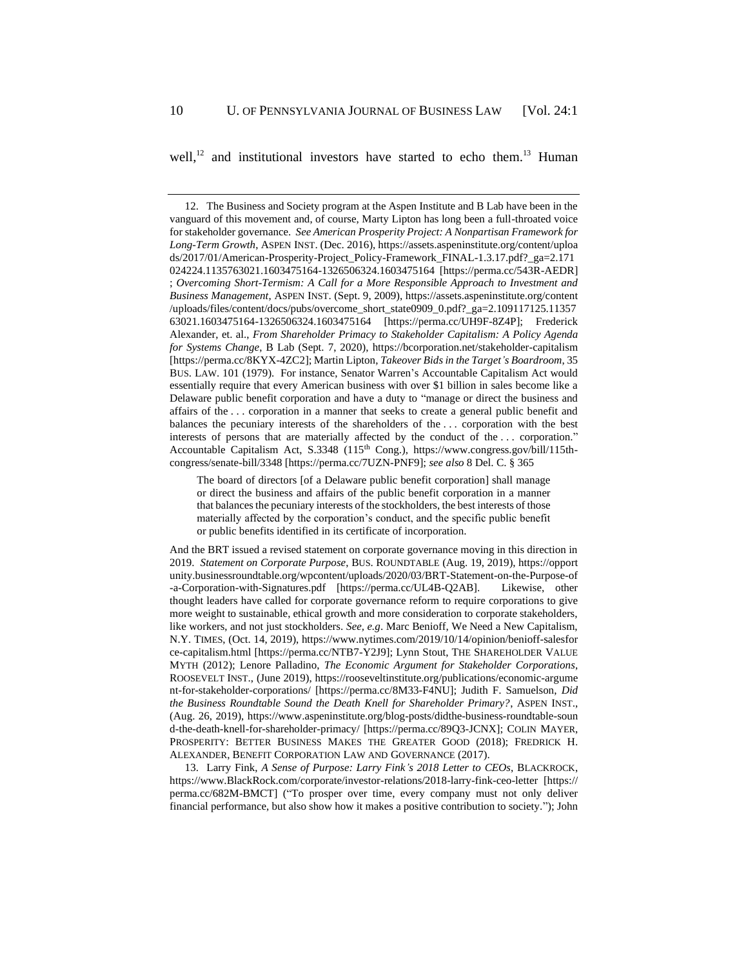well,<sup>12</sup> and institutional investors have started to echo them.<sup>13</sup> Human

And the BRT issued a revised statement on corporate governance moving in this direction in 2019. *Statement on Corporate Purpose*, BUS. ROUNDTABLE (Aug. 19, 2019), https://opport unity.businessroundtable.org/wpcontent/uploads/2020/03/BRT-Statement-on-the-Purpose-of -a-Corporation-with-Signatures.pdf [https://perma.cc/UL4B-Q2AB]. Likewise, other thought leaders have called for corporate governance reform to require corporations to give more weight to sustainable, ethical growth and more consideration to corporate stakeholders, like workers, and not just stockholders. *See, e.g*. Marc Benioff, We Need a New Capitalism, N.Y. TIMES, (Oct. 14, 2019), https://www.nytimes.com/2019/10/14/opinion/benioff-salesfor ce-capitalism.html [https://perma.cc/NTB7-Y2J9]; Lynn Stout, THE SHAREHOLDER VALUE MYTH (2012); Lenore Palladino, *The Economic Argument for Stakeholder Corporations*, ROOSEVELT INST., (June 2019), https://rooseveltinstitute.org/publications/economic-argume nt-for-stakeholder-corporations/ [https://perma.cc/8M33-F4NU]; Judith F. Samuelson, *Did the Business Roundtable Sound the Death Knell for Shareholder Primary?*, ASPEN INST., (Aug. 26, 2019), https://www.aspeninstitute.org/blog-posts/didthe-business-roundtable-soun d-the-death-knell-for-shareholder-primacy/ [https://perma.cc/89Q3-JCNX]; COLIN MAYER, PROSPERITY: BETTER BUSINESS MAKES THE GREATER GOOD (2018); FREDRICK H. ALEXANDER, BENEFIT CORPORATION LAW AND GOVERNANCE (2017).

13. Larry Fink, *A Sense of Purpose: Larry Fink's 2018 Letter to CEOs*, BLACKROCK, https://www.BlackRock.com/corporate/investor-relations/2018-larry-fink-ceo-letter [https:// perma.cc/682M-BMCT] ("To prosper over time, every company must not only deliver financial performance, but also show how it makes a positive contribution to society."); John

<sup>12.</sup> The Business and Society program at the Aspen Institute and B Lab have been in the vanguard of this movement and, of course, Marty Lipton has long been a full-throated voice for stakeholder governance. *See American Prosperity Project: A Nonpartisan Framework for Long-Term Growth*, ASPEN INST. (Dec. 2016), https://assets.aspeninstitute.org/content/uploa ds/2017/01/American-Prosperity-Project\_Policy-Framework\_FINAL-1.3.17.pdf?\_ga=2.171 024224.1135763021.1603475164-1326506324.1603475164 [https://perma.cc/543R-AEDR] ; *Overcoming Short-Termism: A Call for a More Responsible Approach to Investment and Business Management*, ASPEN INST. (Sept. 9, 2009), https://assets.aspeninstitute.org/content /uploads/files/content/docs/pubs/overcome\_short\_state0909\_0.pdf?\_ga=2.109117125.11357 63021.1603475164-1326506324.1603475164 [https://perma.cc/UH9F-8Z4P]; Frederick Alexander, et. al., *From Shareholder Primacy to Stakeholder Capitalism: A Policy Agenda for Systems Change*, B Lab (Sept. 7, 2020), https://bcorporation.net/stakeholder-capitalism [https://perma.cc/8KYX-4ZC2]; Martin Lipton, *Takeover Bids in the Target's Boardroom*, 35 BUS. LAW. 101 (1979). For instance, Senator Warren's Accountable Capitalism Act would essentially require that every American business with over \$1 billion in sales become like a Delaware public benefit corporation and have a duty to "manage or direct the business and affairs of the . . . corporation in a manner that seeks to create a general public benefit and balances the pecuniary interests of the shareholders of the . . . corporation with the best interests of persons that are materially affected by the conduct of the . . . corporation." Accountable Capitalism Act, S.3348 (115<sup>th</sup> Cong.), https://www.congress.gov/bill/115thcongress/senate-bill/3348 [https://perma.cc/7UZN-PNF9]; *see also* 8 Del. C. § 365

The board of directors [of a Delaware public benefit corporation] shall manage or direct the business and affairs of the public benefit corporation in a manner that balances the pecuniary interests of the stockholders, the best interests of those materially affected by the corporation's conduct, and the specific public benefit or public benefits identified in its certificate of incorporation.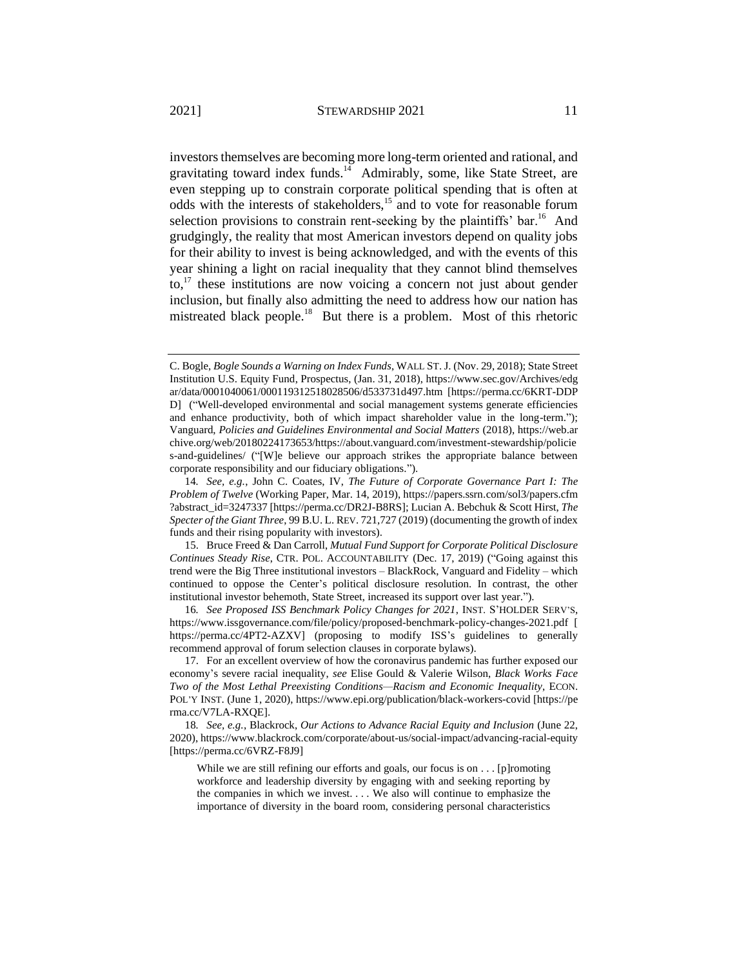investors themselves are becoming more long-term oriented and rational, and gravitating toward index funds.<sup>14</sup> Admirably, some, like State Street, are even stepping up to constrain corporate political spending that is often at odds with the interests of stakeholders, $15$  and to vote for reasonable forum selection provisions to constrain rent-seeking by the plaintiffs' bar.<sup>16</sup> And grudgingly, the reality that most American investors depend on quality jobs for their ability to invest is being acknowledged, and with the events of this year shining a light on racial inequality that they cannot blind themselves  $\mathrm{to}^{17}$  these institutions are now voicing a concern not just about gender inclusion, but finally also admitting the need to address how our nation has mistreated black people.<sup>18</sup> But there is a problem. Most of this rhetoric

C. Bogle, *Bogle Sounds a Warning on Index Funds*, WALL ST. J. (Nov. 29, 2018); State Street Institution U.S. Equity Fund, Prospectus, (Jan. 31, 2018), https://www.sec.gov/Archives/edg ar/data/0001040061/000119312518028506/d533731d497.htm [https://perma.cc/6KRT-DDP D] ("Well-developed environmental and social management systems generate efficiencies and enhance productivity, both of which impact shareholder value in the long-term."); Vanguard, *Policies and Guidelines Environmental and Social Matters* (2018), https://web.ar chive.org/web/20180224173653/https://about.vanguard.com/investment-stewardship/policie s-and-guidelines/ ("[W]e believe our approach strikes the appropriate balance between corporate responsibility and our fiduciary obligations.").

<sup>14</sup>*. See, e.g.*, John C. Coates, IV, *The Future of Corporate Governance Part I: The Problem of Twelve* (Working Paper, Mar. 14, 2019), https://papers.ssrn.com/sol3/papers.cfm ?abstract\_id=3247337 [https://perma.cc/DR2J-B8RS]; Lucian A. Bebchuk & Scott Hirst, *The Specter of the Giant Three*, 99 B.U. L. REV. 721,727 (2019) (documenting the growth of index funds and their rising popularity with investors).

<sup>15.</sup> Bruce Freed & Dan Carroll, *Mutual Fund Support for Corporate Political Disclosure Continues Steady Rise*, CTR. POL. ACCOUNTABILITY (Dec. 17, 2019) ("Going against this trend were the Big Three institutional investors – BlackRock, Vanguard and Fidelity – which continued to oppose the Center's political disclosure resolution. In contrast, the other institutional investor behemoth, State Street, increased its support over last year.").

<sup>16</sup>*. See Proposed ISS Benchmark Policy Changes for 2021*, INST. S'HOLDER SERV'S, https://www.issgovernance.com/file/policy/proposed-benchmark-policy-changes-2021.pdf [ https://perma.cc/4PT2-AZXV] (proposing to modify ISS's guidelines to generally recommend approval of forum selection clauses in corporate bylaws).

<sup>17.</sup> For an excellent overview of how the coronavirus pandemic has further exposed our economy's severe racial inequality, *see* Elise Gould & Valerie Wilson, *Black Works Face Two of the Most Lethal Preexisting Conditions—Racism and Economic Inequality*, ECON. POL'Y INST. (June 1, 2020), https://www.epi.org/publication/black-workers-covid [https://pe rma.cc/V7LA-RXQE].

<sup>18</sup>*. See, e.g.*, Blackrock, *Our Actions to Advance Racial Equity and Inclusion* (June 22, 2020), https://www.blackrock.com/corporate/about-us/social-impact/advancing-racial-equity [https://perma.cc/6VRZ-F8J9]

While we are still refining our efforts and goals, our focus is on . . . [p]romoting workforce and leadership diversity by engaging with and seeking reporting by the companies in which we invest. . . . We also will continue to emphasize the importance of diversity in the board room, considering personal characteristics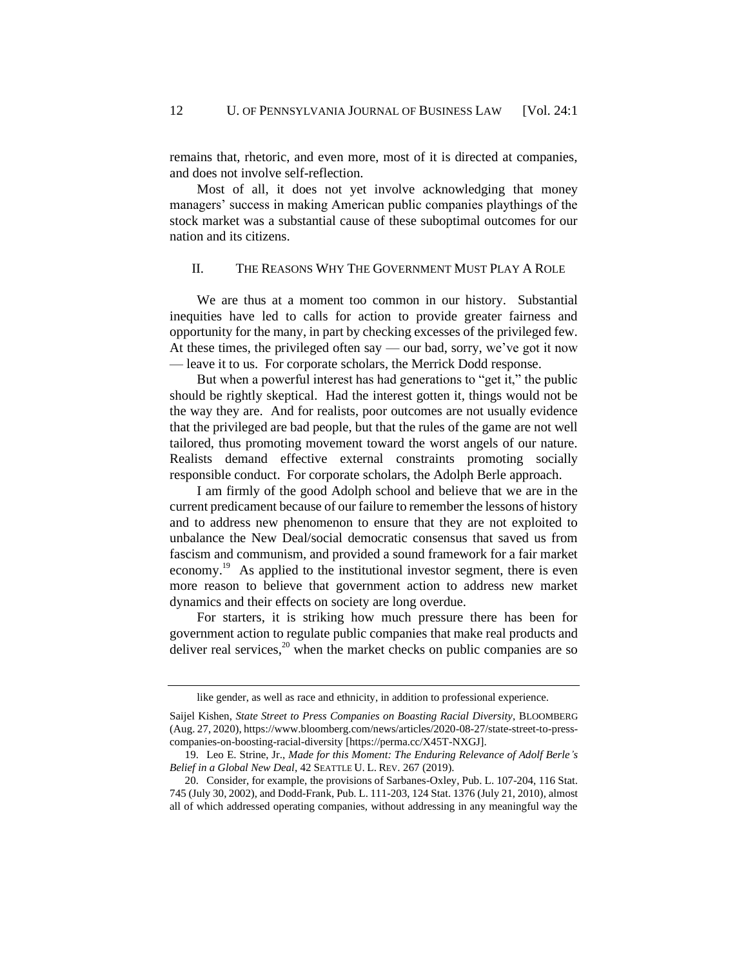remains that, rhetoric, and even more, most of it is directed at companies, and does not involve self-reflection.

Most of all, it does not yet involve acknowledging that money managers' success in making American public companies playthings of the stock market was a substantial cause of these suboptimal outcomes for our nation and its citizens.

## II. THE REASONS WHY THE GOVERNMENT MUST PLAY A ROLE

We are thus at a moment too common in our history. Substantial inequities have led to calls for action to provide greater fairness and opportunity for the many, in part by checking excesses of the privileged few. At these times, the privileged often say — our bad, sorry, we've got it now — leave it to us. For corporate scholars, the Merrick Dodd response.

But when a powerful interest has had generations to "get it," the public should be rightly skeptical. Had the interest gotten it, things would not be the way they are. And for realists, poor outcomes are not usually evidence that the privileged are bad people, but that the rules of the game are not well tailored, thus promoting movement toward the worst angels of our nature. Realists demand effective external constraints promoting socially responsible conduct. For corporate scholars, the Adolph Berle approach.

I am firmly of the good Adolph school and believe that we are in the current predicament because of our failure to remember the lessons of history and to address new phenomenon to ensure that they are not exploited to unbalance the New Deal/social democratic consensus that saved us from fascism and communism, and provided a sound framework for a fair market economy.<sup>19</sup> As applied to the institutional investor segment, there is even more reason to believe that government action to address new market dynamics and their effects on society are long overdue.

For starters, it is striking how much pressure there has been for government action to regulate public companies that make real products and deliver real services, $^{20}$  when the market checks on public companies are so

like gender, as well as race and ethnicity, in addition to professional experience.

Saijel Kishen, *State Street to Press Companies on Boasting Racial Diversity*, BLOOMBERG (Aug. 27, 2020), https://www.bloomberg.com/news/articles/2020-08-27/state-street-to-presscompanies-on-boosting-racial-diversity [https://perma.cc/X45T-NXGJ].

<sup>19.</sup> Leo E. Strine, Jr., *Made for this Moment: The Enduring Relevance of Adolf Berle's Belief in a Global New Deal*, 42 SEATTLE U. L. REV. 267 (2019).

<sup>20.</sup> Consider, for example, the provisions of Sarbanes-Oxley, Pub. L. 107-204, 116 Stat. 745 (July 30, 2002), and Dodd-Frank, Pub. L. 111-203, 124 Stat. 1376 (July 21, 2010), almost all of which addressed operating companies, without addressing in any meaningful way the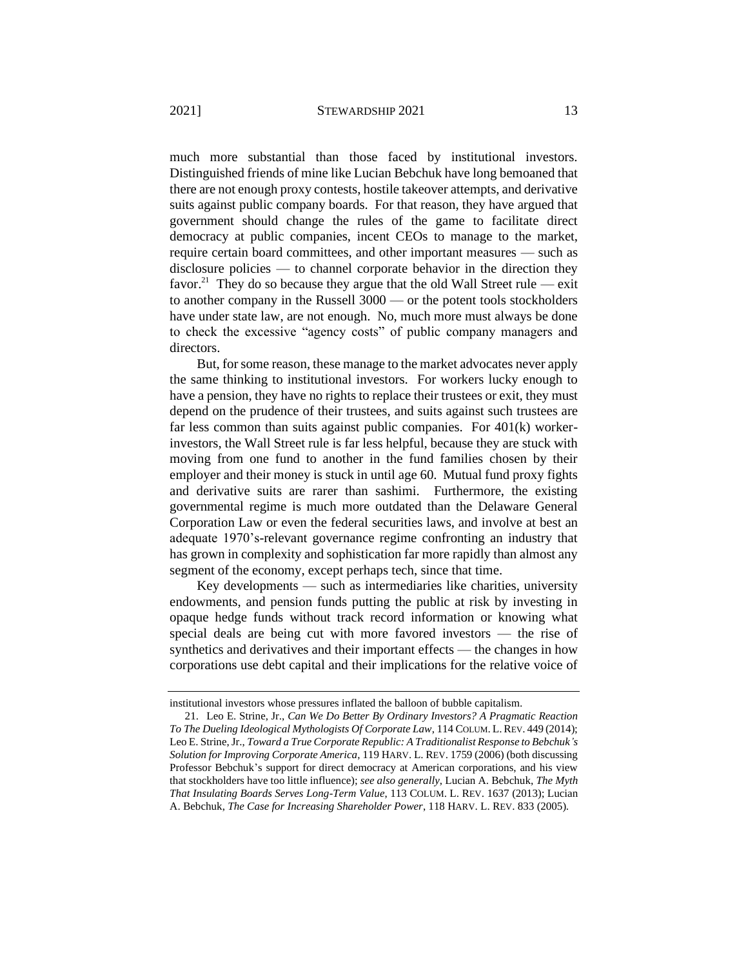much more substantial than those faced by institutional investors. Distinguished friends of mine like Lucian Bebchuk have long bemoaned that there are not enough proxy contests, hostile takeover attempts, and derivative suits against public company boards. For that reason, they have argued that government should change the rules of the game to facilitate direct democracy at public companies, incent CEOs to manage to the market, require certain board committees, and other important measures — such as disclosure policies — to channel corporate behavior in the direction they favor.<sup>21</sup> They do so because they argue that the old Wall Street rule — exit to another company in the Russell 3000 — or the potent tools stockholders have under state law, are not enough. No, much more must always be done to check the excessive "agency costs" of public company managers and directors.

But, for some reason, these manage to the market advocates never apply the same thinking to institutional investors. For workers lucky enough to have a pension, they have no rights to replace their trustees or exit, they must depend on the prudence of their trustees, and suits against such trustees are far less common than suits against public companies. For 401(k) workerinvestors, the Wall Street rule is far less helpful, because they are stuck with moving from one fund to another in the fund families chosen by their employer and their money is stuck in until age 60. Mutual fund proxy fights and derivative suits are rarer than sashimi. Furthermore, the existing governmental regime is much more outdated than the Delaware General Corporation Law or even the federal securities laws, and involve at best an adequate 1970's-relevant governance regime confronting an industry that has grown in complexity and sophistication far more rapidly than almost any segment of the economy, except perhaps tech, since that time.

Key developments — such as intermediaries like charities, university endowments, and pension funds putting the public at risk by investing in opaque hedge funds without track record information or knowing what special deals are being cut with more favored investors — the rise of synthetics and derivatives and their important effects — the changes in how corporations use debt capital and their implications for the relative voice of

institutional investors whose pressures inflated the balloon of bubble capitalism.

<sup>21.</sup> Leo E. Strine, Jr., *Can We Do Better By Ordinary Investors? A Pragmatic Reaction To The Dueling Ideological Mythologists Of Corporate Law*, 114 COLUM. L.REV. 449 (2014); Leo E. Strine, Jr., *Toward a True Corporate Republic: A Traditionalist Response to Bebchuk's Solution for Improving Corporate America*, 119 HARV. L. REV. 1759 (2006) (both discussing Professor Bebchuk's support for direct democracy at American corporations, and his view that stockholders have too little influence); *see also generally*, Lucian A. Bebchuk, *The Myth That Insulating Boards Serves Long-Term Value*, 113 COLUM. L. REV. 1637 (2013); Lucian A. Bebchuk, *The Case for Increasing Shareholder Power*, 118 HARV. L. REV. 833 (2005).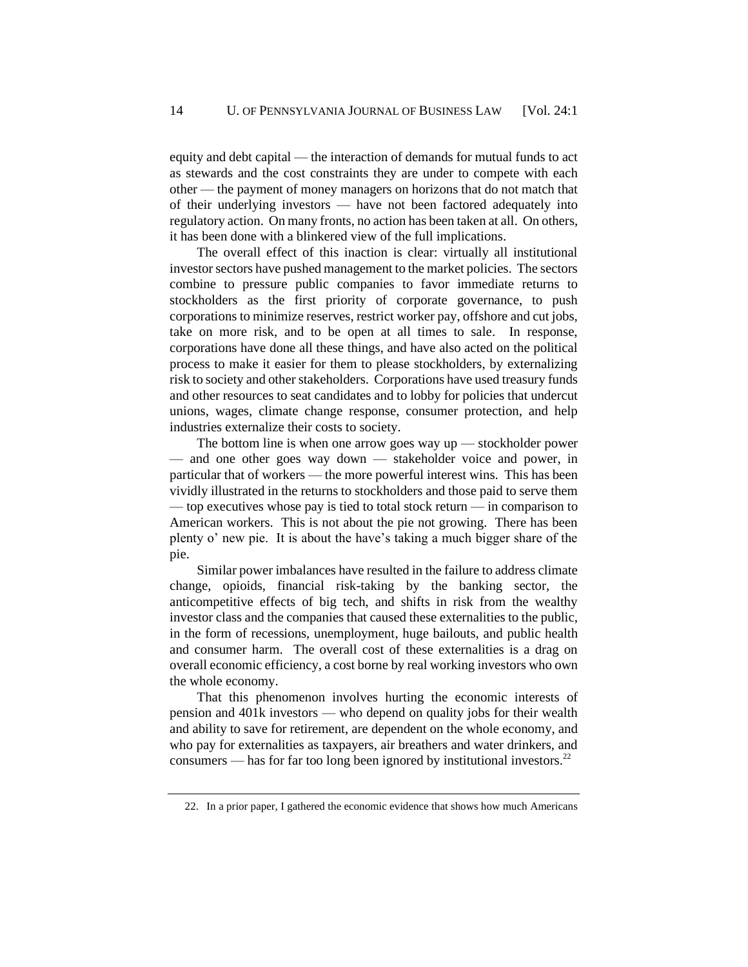equity and debt capital — the interaction of demands for mutual funds to act as stewards and the cost constraints they are under to compete with each other — the payment of money managers on horizons that do not match that of their underlying investors — have not been factored adequately into regulatory action. On many fronts, no action has been taken at all. On others, it has been done with a blinkered view of the full implications.

The overall effect of this inaction is clear: virtually all institutional investor sectors have pushed management to the market policies. The sectors combine to pressure public companies to favor immediate returns to stockholders as the first priority of corporate governance, to push corporations to minimize reserves, restrict worker pay, offshore and cut jobs, take on more risk, and to be open at all times to sale. In response, corporations have done all these things, and have also acted on the political process to make it easier for them to please stockholders, by externalizing risk to society and other stakeholders. Corporations have used treasury funds and other resources to seat candidates and to lobby for policies that undercut unions, wages, climate change response, consumer protection, and help industries externalize their costs to society.

The bottom line is when one arrow goes way up — stockholder power — and one other goes way down — stakeholder voice and power, in particular that of workers — the more powerful interest wins. This has been vividly illustrated in the returns to stockholders and those paid to serve them — top executives whose pay is tied to total stock return — in comparison to American workers. This is not about the pie not growing. There has been plenty o' new pie. It is about the have's taking a much bigger share of the pie.

Similar power imbalances have resulted in the failure to address climate change, opioids, financial risk-taking by the banking sector, the anticompetitive effects of big tech, and shifts in risk from the wealthy investor class and the companies that caused these externalities to the public, in the form of recessions, unemployment, huge bailouts, and public health and consumer harm. The overall cost of these externalities is a drag on overall economic efficiency, a cost borne by real working investors who own the whole economy.

That this phenomenon involves hurting the economic interests of pension and 401k investors — who depend on quality jobs for their wealth and ability to save for retirement, are dependent on the whole economy, and who pay for externalities as taxpayers, air breathers and water drinkers, and consumers — has for far too long been ignored by institutional investors.<sup>22</sup>

<sup>22.</sup> In a prior paper, I gathered the economic evidence that shows how much Americans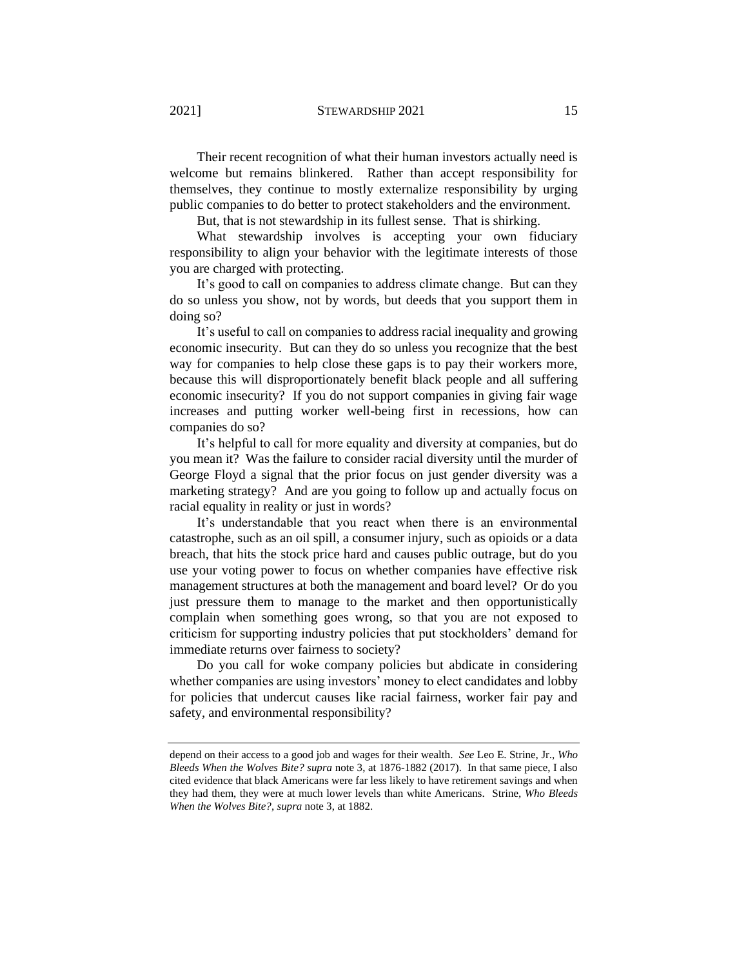Their recent recognition of what their human investors actually need is welcome but remains blinkered. Rather than accept responsibility for themselves, they continue to mostly externalize responsibility by urging public companies to do better to protect stakeholders and the environment.

But, that is not stewardship in its fullest sense. That is shirking.

What stewardship involves is accepting your own fiduciary responsibility to align your behavior with the legitimate interests of those you are charged with protecting.

It's good to call on companies to address climate change. But can they do so unless you show, not by words, but deeds that you support them in doing so?

It's useful to call on companies to address racial inequality and growing economic insecurity. But can they do so unless you recognize that the best way for companies to help close these gaps is to pay their workers more, because this will disproportionately benefit black people and all suffering economic insecurity? If you do not support companies in giving fair wage increases and putting worker well-being first in recessions, how can companies do so?

It's helpful to call for more equality and diversity at companies, but do you mean it? Was the failure to consider racial diversity until the murder of George Floyd a signal that the prior focus on just gender diversity was a marketing strategy? And are you going to follow up and actually focus on racial equality in reality or just in words?

It's understandable that you react when there is an environmental catastrophe, such as an oil spill, a consumer injury, such as opioids or a data breach, that hits the stock price hard and causes public outrage, but do you use your voting power to focus on whether companies have effective risk management structures at both the management and board level? Or do you just pressure them to manage to the market and then opportunistically complain when something goes wrong, so that you are not exposed to criticism for supporting industry policies that put stockholders' demand for immediate returns over fairness to society?

Do you call for woke company policies but abdicate in considering whether companies are using investors' money to elect candidates and lobby for policies that undercut causes like racial fairness, worker fair pay and safety, and environmental responsibility?

depend on their access to a good job and wages for their wealth. *See* Leo E. Strine, Jr., *Who Bleeds When the Wolves Bite? supra* note [3,](#page-2-0) at 1876-1882 (2017). In that same piece, I also cited evidence that black Americans were far less likely to have retirement savings and when they had them, they were at much lower levels than white Americans. Strine*, Who Bleeds When the Wolves Bite?*, *supra* note 3, at 1882.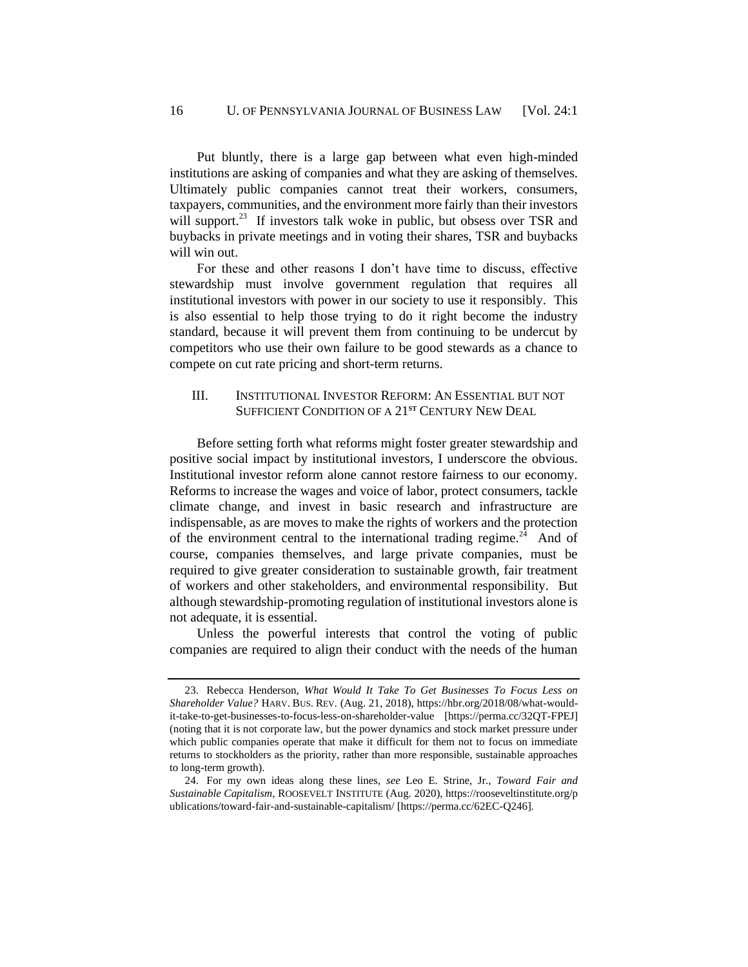Put bluntly, there is a large gap between what even high-minded institutions are asking of companies and what they are asking of themselves. Ultimately public companies cannot treat their workers, consumers, taxpayers, communities, and the environment more fairly than their investors will support. $^{23}$  If investors talk woke in public, but obsess over TSR and buybacks in private meetings and in voting their shares, TSR and buybacks will win out.

For these and other reasons I don't have time to discuss, effective stewardship must involve government regulation that requires all institutional investors with power in our society to use it responsibly. This is also essential to help those trying to do it right become the industry standard, because it will prevent them from continuing to be undercut by competitors who use their own failure to be good stewards as a chance to compete on cut rate pricing and short-term returns.

### III. INSTITUTIONAL INVESTOR REFORM: AN ESSENTIAL BUT NOT SUFFICIENT CONDITION OF A 21<sup>ST</sup> CENTURY NEW DEAL

Before setting forth what reforms might foster greater stewardship and positive social impact by institutional investors, I underscore the obvious. Institutional investor reform alone cannot restore fairness to our economy. Reforms to increase the wages and voice of labor, protect consumers, tackle climate change, and invest in basic research and infrastructure are indispensable, as are moves to make the rights of workers and the protection of the environment central to the international trading regime. $24$  And of course, companies themselves, and large private companies, must be required to give greater consideration to sustainable growth, fair treatment of workers and other stakeholders, and environmental responsibility. But although stewardship-promoting regulation of institutional investors alone is not adequate, it is essential.

Unless the powerful interests that control the voting of public companies are required to align their conduct with the needs of the human

<sup>23.</sup> Rebecca Henderson, *What Would It Take To Get Businesses To Focus Less on Shareholder Value?* HARV. BUS. REV. (Aug. 21, 2018), https://hbr.org/2018/08/what-wouldit-take-to-get-businesses-to-focus-less-on-shareholder-value [https://perma.cc/32QT-FPEJ] (noting that it is not corporate law, but the power dynamics and stock market pressure under which public companies operate that make it difficult for them not to focus on immediate returns to stockholders as the priority, rather than more responsible, sustainable approaches to long-term growth).

<sup>24.</sup> For my own ideas along these lines, *see* Leo E. Strine, Jr., *Toward Fair and Sustainable Capitalism*, ROOSEVELT INSTITUTE (Aug. 2020), https://rooseveltinstitute.org/p ublications/toward-fair-and-sustainable-capitalism/ [https://perma.cc/62EC-Q246].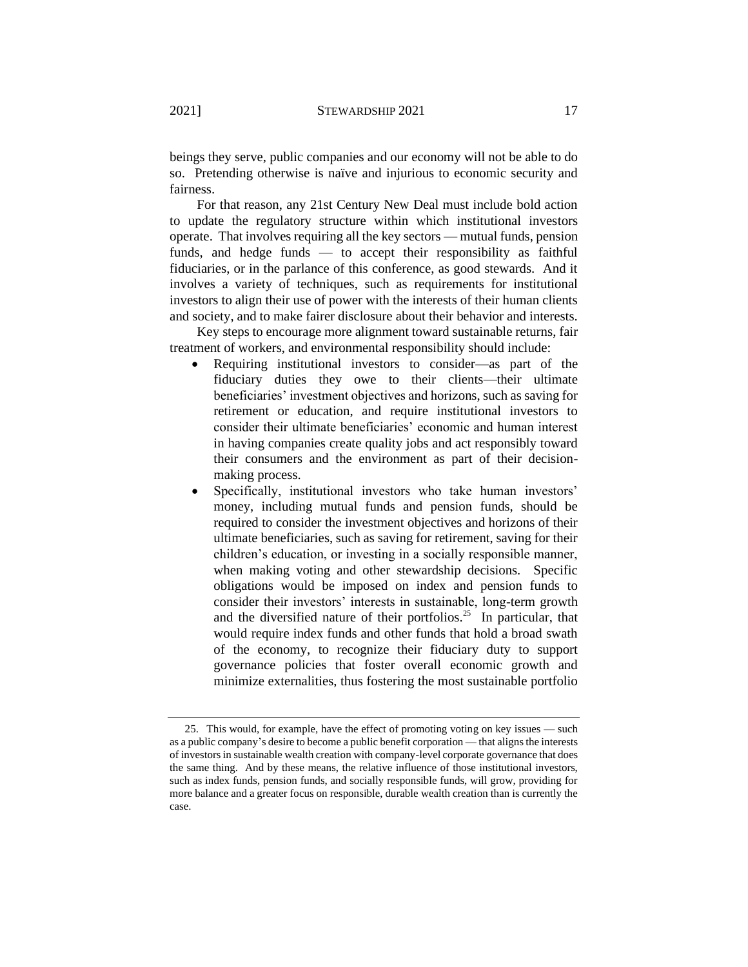beings they serve, public companies and our economy will not be able to do so. Pretending otherwise is naïve and injurious to economic security and fairness.

For that reason, any 21st Century New Deal must include bold action to update the regulatory structure within which institutional investors operate. That involves requiring all the key sectors — mutual funds, pension funds, and hedge funds — to accept their responsibility as faithful fiduciaries, or in the parlance of this conference, as good stewards. And it involves a variety of techniques, such as requirements for institutional investors to align their use of power with the interests of their human clients and society, and to make fairer disclosure about their behavior and interests.

Key steps to encourage more alignment toward sustainable returns, fair treatment of workers, and environmental responsibility should include:

- Requiring institutional investors to consider—as part of the fiduciary duties they owe to their clients—their ultimate beneficiaries' investment objectives and horizons, such as saving for retirement or education, and require institutional investors to consider their ultimate beneficiaries' economic and human interest in having companies create quality jobs and act responsibly toward their consumers and the environment as part of their decisionmaking process.
- Specifically, institutional investors who take human investors' money, including mutual funds and pension funds, should be required to consider the investment objectives and horizons of their ultimate beneficiaries, such as saving for retirement, saving for their children's education, or investing in a socially responsible manner, when making voting and other stewardship decisions. Specific obligations would be imposed on index and pension funds to consider their investors' interests in sustainable, long-term growth and the diversified nature of their portfolios.<sup>25</sup> In particular, that would require index funds and other funds that hold a broad swath of the economy, to recognize their fiduciary duty to support governance policies that foster overall economic growth and minimize externalities, thus fostering the most sustainable portfolio

<sup>25.</sup> This would, for example, have the effect of promoting voting on key issues — such as a public company's desire to become a public benefit corporation — that aligns the interests of investors in sustainable wealth creation with company-level corporate governance that does the same thing. And by these means, the relative influence of those institutional investors, such as index funds, pension funds, and socially responsible funds, will grow, providing for more balance and a greater focus on responsible, durable wealth creation than is currently the case.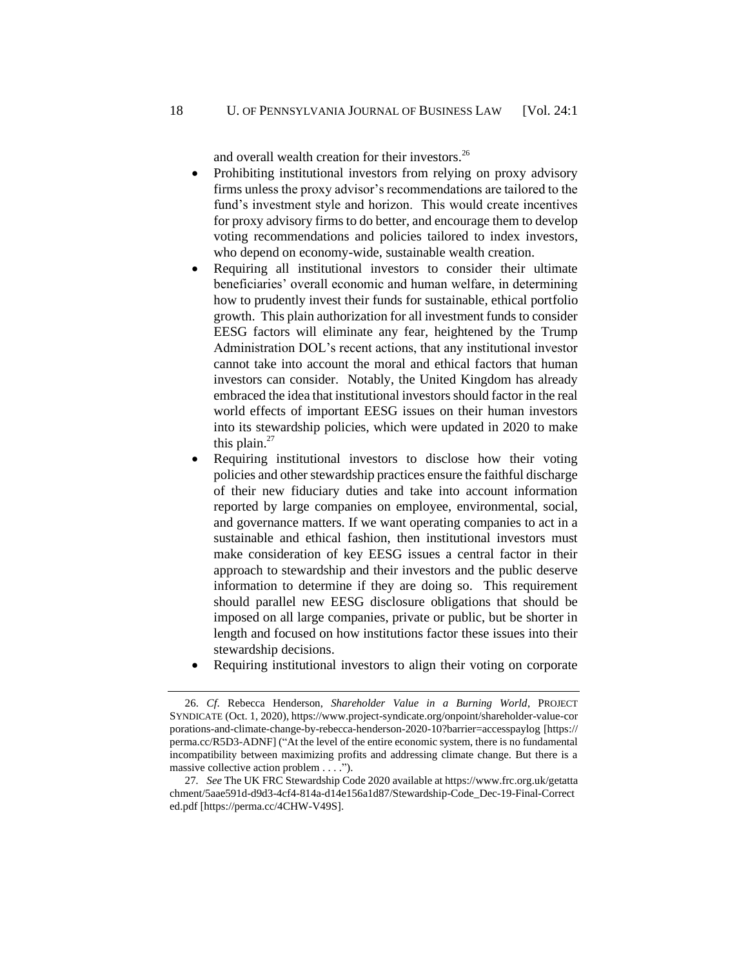and overall wealth creation for their investors.<sup>26</sup>

- Prohibiting institutional investors from relying on proxy advisory firms unless the proxy advisor's recommendations are tailored to the fund's investment style and horizon. This would create incentives for proxy advisory firms to do better, and encourage them to develop voting recommendations and policies tailored to index investors, who depend on economy-wide, sustainable wealth creation.
- Requiring all institutional investors to consider their ultimate beneficiaries' overall economic and human welfare, in determining how to prudently invest their funds for sustainable, ethical portfolio growth. This plain authorization for all investment funds to consider EESG factors will eliminate any fear, heightened by the Trump Administration DOL's recent actions, that any institutional investor cannot take into account the moral and ethical factors that human investors can consider. Notably, the United Kingdom has already embraced the idea that institutional investors should factor in the real world effects of important EESG issues on their human investors into its stewardship policies, which were updated in 2020 to make this plain.<sup>27</sup>
- Requiring institutional investors to disclose how their voting policies and other stewardship practices ensure the faithful discharge of their new fiduciary duties and take into account information reported by large companies on employee, environmental, social, and governance matters. If we want operating companies to act in a sustainable and ethical fashion, then institutional investors must make consideration of key EESG issues a central factor in their approach to stewardship and their investors and the public deserve information to determine if they are doing so. This requirement should parallel new EESG disclosure obligations that should be imposed on all large companies, private or public, but be shorter in length and focused on how institutions factor these issues into their stewardship decisions.
- Requiring institutional investors to align their voting on corporate

<sup>26.</sup> *Cf*. Rebecca Henderson, *Shareholder Value in a Burning World*, PROJECT SYNDICATE (Oct. 1, 2020), https://www.project-syndicate.org/onpoint/shareholder-value-cor porations-and-climate-change-by-rebecca-henderson-2020-10?barrier=accesspaylog [https:// perma.cc/R5D3-ADNF] ("At the level of the entire economic system, there is no fundamental incompatibility between maximizing profits and addressing climate change. But there is a massive collective action problem . . . .").

<sup>27</sup>*. See* The UK FRC Stewardship Code 2020 available at https://www.frc.org.uk/getatta chment/5aae591d-d9d3-4cf4-814a-d14e156a1d87/Stewardship-Code\_Dec-19-Final-Correct ed.pdf [https://perma.cc/4CHW-V49S].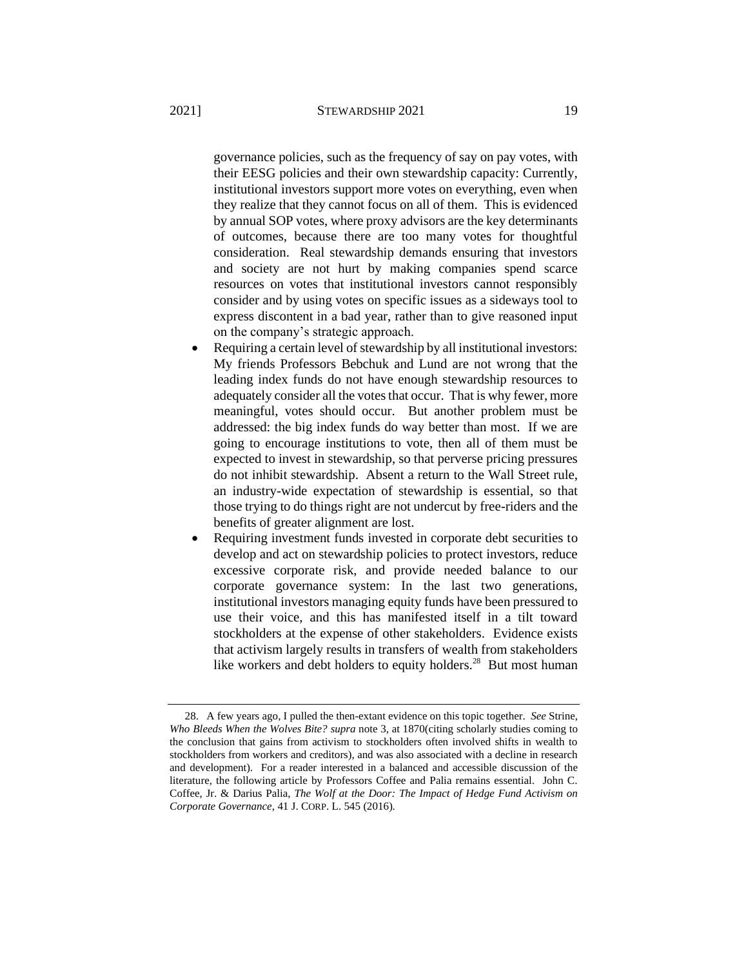governance policies, such as the frequency of say on pay votes, with their EESG policies and their own stewardship capacity: Currently, institutional investors support more votes on everything, even when they realize that they cannot focus on all of them. This is evidenced by annual SOP votes, where proxy advisors are the key determinants of outcomes, because there are too many votes for thoughtful consideration. Real stewardship demands ensuring that investors and society are not hurt by making companies spend scarce resources on votes that institutional investors cannot responsibly consider and by using votes on specific issues as a sideways tool to express discontent in a bad year, rather than to give reasoned input on the company's strategic approach.

- Requiring a certain level of stewardship by all institutional investors: My friends Professors Bebchuk and Lund are not wrong that the leading index funds do not have enough stewardship resources to adequately consider all the votes that occur. That is why fewer, more meaningful, votes should occur. But another problem must be addressed: the big index funds do way better than most. If we are going to encourage institutions to vote, then all of them must be expected to invest in stewardship, so that perverse pricing pressures do not inhibit stewardship. Absent a return to the Wall Street rule, an industry-wide expectation of stewardship is essential, so that those trying to do things right are not undercut by free-riders and the benefits of greater alignment are lost.
- Requiring investment funds invested in corporate debt securities to develop and act on stewardship policies to protect investors, reduce excessive corporate risk, and provide needed balance to our corporate governance system: In the last two generations, institutional investors managing equity funds have been pressured to use their voice, and this has manifested itself in a tilt toward stockholders at the expense of other stakeholders. Evidence exists that activism largely results in transfers of wealth from stakeholders like workers and debt holders to equity holders.<sup>28</sup> But most human

<span id="page-18-0"></span><sup>28.</sup> A few years ago, I pulled the then-extant evidence on this topic together. *See* Strine, *Who Bleeds When the Wolves Bite? supra* not[e 3,](#page-2-0) at 1870(citing scholarly studies coming to the conclusion that gains from activism to stockholders often involved shifts in wealth to stockholders from workers and creditors), and was also associated with a decline in research and development). For a reader interested in a balanced and accessible discussion of the literature, the following article by Professors Coffee and Palia remains essential. John C. Coffee, Jr. & Darius Palia, *The Wolf at the Door: The Impact of Hedge Fund Activism on Corporate Governance*, 41 J. CORP. L. 545 (2016).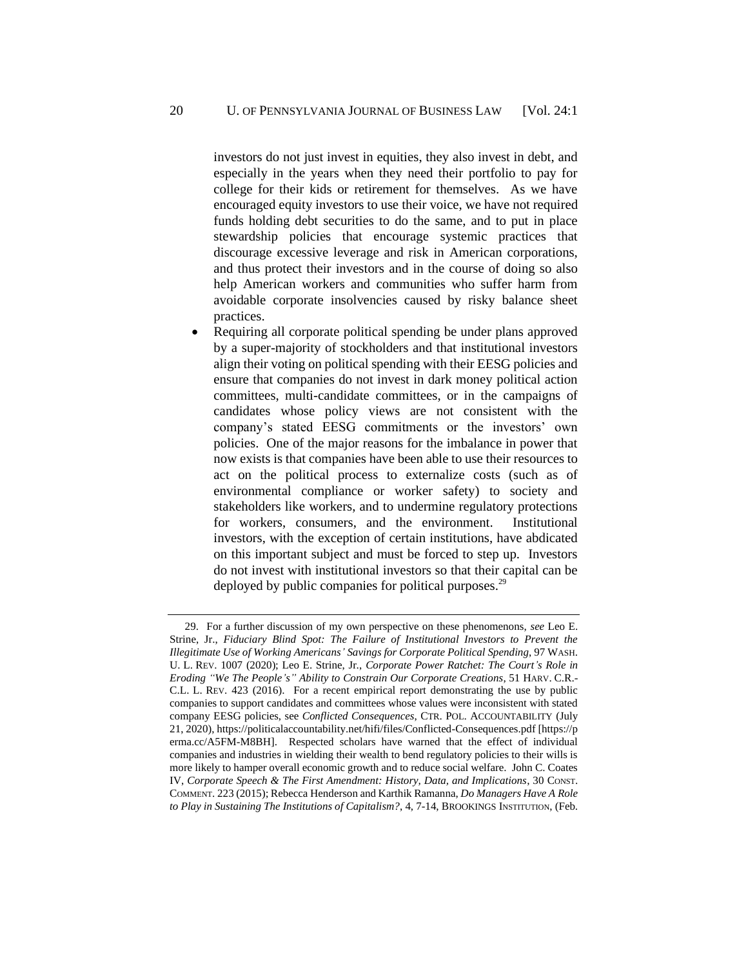investors do not just invest in equities, they also invest in debt, and especially in the years when they need their portfolio to pay for college for their kids or retirement for themselves. As we have encouraged equity investors to use their voice, we have not required funds holding debt securities to do the same, and to put in place stewardship policies that encourage systemic practices that discourage excessive leverage and risk in American corporations, and thus protect their investors and in the course of doing so also help American workers and communities who suffer harm from avoidable corporate insolvencies caused by risky balance sheet practices.

Requiring all corporate political spending be under plans approved by a super-majority of stockholders and that institutional investors align their voting on political spending with their EESG policies and ensure that companies do not invest in dark money political action committees, multi-candidate committees, or in the campaigns of candidates whose policy views are not consistent with the company's stated EESG commitments or the investors' own policies. One of the major reasons for the imbalance in power that now exists is that companies have been able to use their resources to act on the political process to externalize costs (such as of environmental compliance or worker safety) to society and stakeholders like workers, and to undermine regulatory protections for workers, consumers, and the environment. Institutional investors, with the exception of certain institutions, have abdicated on this important subject and must be forced to step up. Investors do not invest with institutional investors so that their capital can be deployed by public companies for political purposes.<sup>29</sup>

<sup>29.</sup> For a further discussion of my own perspective on these phenomenons, *see* Leo E. Strine, Jr., *Fiduciary Blind Spot: The Failure of Institutional Investors to Prevent the Illegitimate Use of Working Americans' Savings for Corporate Political Spending*, 97 WASH. U. L. REV. 1007 (2020); Leo E. Strine, Jr., *Corporate Power Ratchet: The Court's Role in Eroding "We The People's" Ability to Constrain Our Corporate Creations*, 51 HARV. C.R.- C.L. L. REV. 423 (2016). For a recent empirical report demonstrating the use by public companies to support candidates and committees whose values were inconsistent with stated company EESG policies, see *Conflicted Consequences*, CTR. POL. ACCOUNTABILITY (July 21, 2020), https://politicalaccountability.net/hifi/files/Conflicted-Consequences.pdf [https://p erma.cc/A5FM-M8BH]. Respected scholars have warned that the effect of individual companies and industries in wielding their wealth to bend regulatory policies to their wills is more likely to hamper overall economic growth and to reduce social welfare. John C. Coates IV, *Corporate Speech & The First Amendment: History, Data, and Implications*, 30 CONST. COMMENT. 223 (2015); Rebecca Henderson and Karthik Ramanna, *Do Managers Have A Role to Play in Sustaining The Institutions of Capitalism?*, 4, 7-14, BROOKINGS INSTITUTION, (Feb.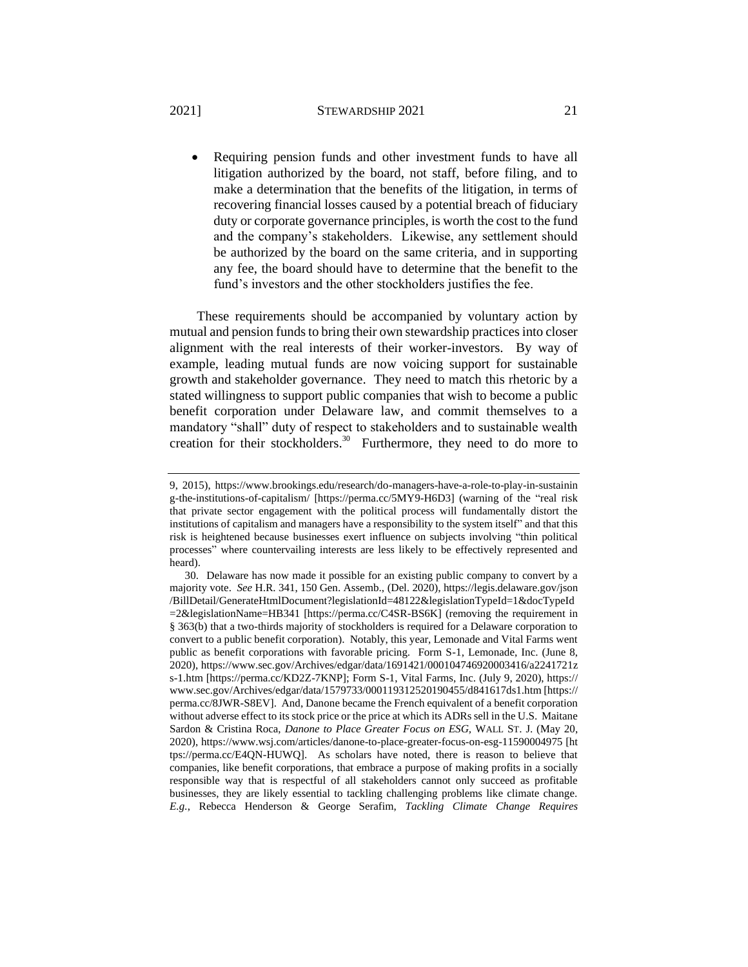#### 2021] **STEWARDSHIP 2021** 21

• Requiring pension funds and other investment funds to have all litigation authorized by the board, not staff, before filing, and to make a determination that the benefits of the litigation, in terms of recovering financial losses caused by a potential breach of fiduciary duty or corporate governance principles, is worth the cost to the fund and the company's stakeholders. Likewise, any settlement should be authorized by the board on the same criteria, and in supporting any fee, the board should have to determine that the benefit to the fund's investors and the other stockholders justifies the fee.

These requirements should be accompanied by voluntary action by mutual and pension funds to bring their own stewardship practices into closer alignment with the real interests of their worker-investors. By way of example, leading mutual funds are now voicing support for sustainable growth and stakeholder governance. They need to match this rhetoric by a stated willingness to support public companies that wish to become a public benefit corporation under Delaware law, and commit themselves to a mandatory "shall" duty of respect to stakeholders and to sustainable wealth creation for their stockholders.<sup>30</sup> Furthermore, they need to do more to

<sup>9, 2015),</sup> https://www.brookings.edu/research/do-managers-have-a-role-to-play-in-sustainin g-the-institutions-of-capitalism/ [https://perma.cc/5MY9-H6D3] (warning of the "real risk that private sector engagement with the political process will fundamentally distort the institutions of capitalism and managers have a responsibility to the system itself" and that this risk is heightened because businesses exert influence on subjects involving "thin political processes" where countervailing interests are less likely to be effectively represented and heard).

<sup>30.</sup> Delaware has now made it possible for an existing public company to convert by a majority vote. *See* H.R. 341, 150 Gen. Assemb., (Del. 2020), https://legis.delaware.gov/json /BillDetail/GenerateHtmlDocument?legislationId=48122&legislationTypeId=1&docTypeId =2&legislationName=HB341 [https://perma.cc/C4SR-BS6K] (removing the requirement in § 363(b) that a two-thirds majority of stockholders is required for a Delaware corporation to convert to a public benefit corporation). Notably, this year, Lemonade and Vital Farms went public as benefit corporations with favorable pricing. Form S-1, Lemonade, Inc. (June 8, 2020), https://www.sec.gov/Archives/edgar/data/1691421/000104746920003416/a2241721z s-1.htm [https://perma.cc/KD2Z-7KNP]; Form S-1, Vital Farms, Inc. (July 9, 2020), https:// www.sec.gov/Archives/edgar/data/1579733/000119312520190455/d841617ds1.htm [https:// perma.cc/8JWR-S8EV]. And, Danone became the French equivalent of a benefit corporation without adverse effect to its stock price or the price at which its ADRs sell in the U.S. Maitane Sardon & Cristina Roca, *Danone to Place Greater Focus on ESG,* WALL ST. J. (May 20, 2020), https://www.wsj.com/articles/danone-to-place-greater-focus-on-esg-11590004975 [ht tps://perma.cc/E4QN-HUWQ]. As scholars have noted, there is reason to believe that companies, like benefit corporations, that embrace a purpose of making profits in a socially responsible way that is respectful of all stakeholders cannot only succeed as profitable businesses, they are likely essential to tackling challenging problems like climate change. *E.g.*, Rebecca Henderson & George Serafim, *Tackling Climate Change Requires*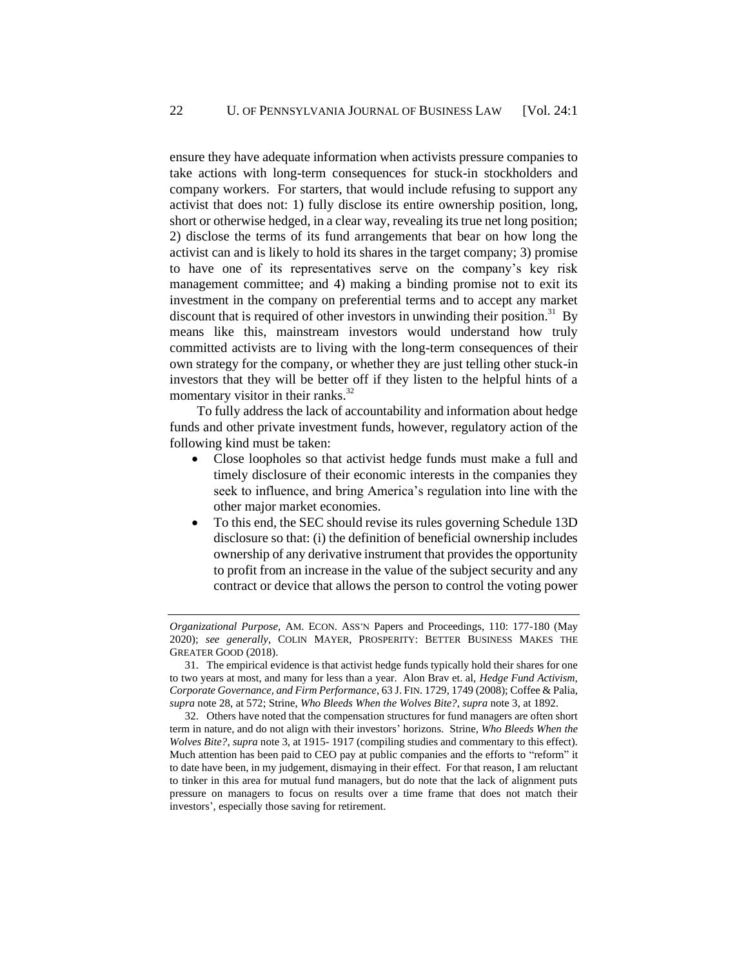ensure they have adequate information when activists pressure companies to take actions with long-term consequences for stuck-in stockholders and company workers. For starters, that would include refusing to support any activist that does not: 1) fully disclose its entire ownership position, long, short or otherwise hedged, in a clear way, revealing its true net long position; 2) disclose the terms of its fund arrangements that bear on how long the activist can and is likely to hold its shares in the target company; 3) promise to have one of its representatives serve on the company's key risk management committee; and 4) making a binding promise not to exit its investment in the company on preferential terms and to accept any market discount that is required of other investors in unwinding their position.<sup>31</sup> By means like this, mainstream investors would understand how truly committed activists are to living with the long-term consequences of their own strategy for the company, or whether they are just telling other stuck-in investors that they will be better off if they listen to the helpful hints of a momentary visitor in their ranks.<sup>32</sup>

To fully address the lack of accountability and information about hedge funds and other private investment funds, however, regulatory action of the following kind must be taken:

- Close loopholes so that activist hedge funds must make a full and timely disclosure of their economic interests in the companies they seek to influence, and bring America's regulation into line with the other major market economies.
- To this end, the SEC should revise its rules governing Schedule 13D disclosure so that: (i) the definition of beneficial ownership includes ownership of any derivative instrument that provides the opportunity to profit from an increase in the value of the subject security and any contract or device that allows the person to control the voting power

*Organizational Purpose*, AM. ECON. ASS'N Papers and Proceedings, 110: 177-180 (May 2020); *see generally*, COLIN MAYER, PROSPERITY: BETTER BUSINESS MAKES THE GREATER GOOD (2018).

<sup>31.</sup> The empirical evidence is that activist hedge funds typically hold their shares for one to two years at most, and many for less than a year. Alon Brav et. al, *Hedge Fund Activism, Corporate Governance, and Firm Performance*, 63 J. FIN. 1729, 1749 (2008); Coffee & Palia, *supra* note 28, at 572; Strine, *Who Bleeds When the Wolves Bite?*, *supra* note 3, at 1892.

<sup>32.</sup> Others have noted that the compensation structures for fund managers are often short term in nature, and do not align with their investors' horizons. Strine, *Who Bleeds When the Wolves Bite?*, *supra* note 3, at 1915- 1917 (compiling studies and commentary to this effect). Much attention has been paid to CEO pay at public companies and the efforts to "reform" it to date have been, in my judgement, dismaying in their effect. For that reason, I am reluctant to tinker in this area for mutual fund managers, but do note that the lack of alignment puts pressure on managers to focus on results over a time frame that does not match their investors', especially those saving for retirement.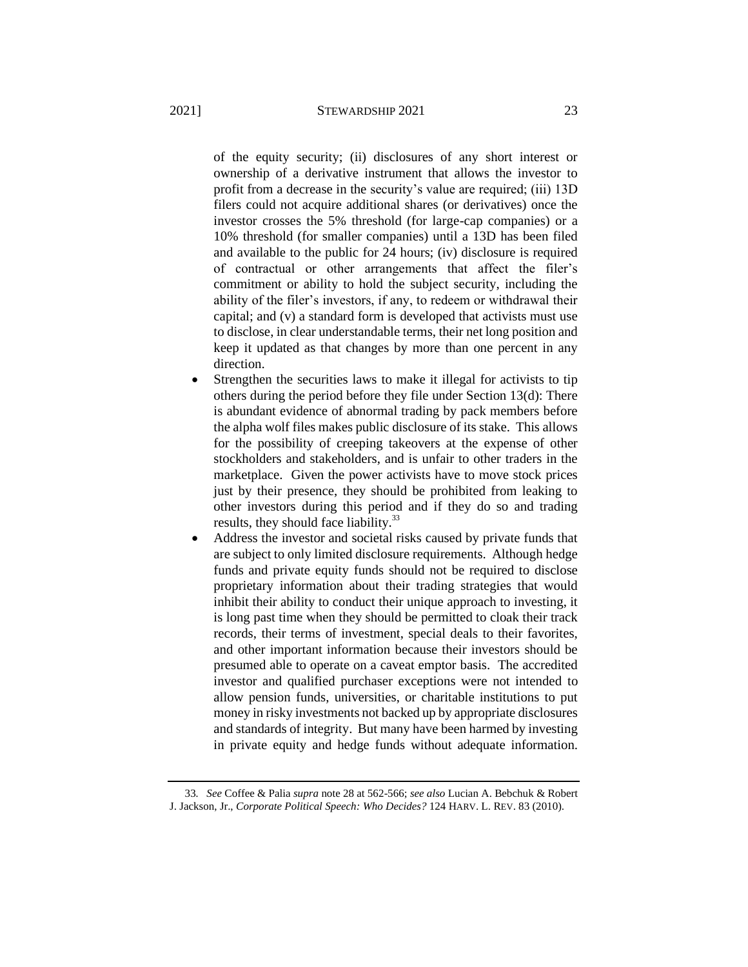of the equity security; (ii) disclosures of any short interest or ownership of a derivative instrument that allows the investor to profit from a decrease in the security's value are required; (iii) 13D filers could not acquire additional shares (or derivatives) once the investor crosses the 5% threshold (for large-cap companies) or a 10% threshold (for smaller companies) until a 13D has been filed and available to the public for 24 hours; (iv) disclosure is required of contractual or other arrangements that affect the filer's commitment or ability to hold the subject security, including the ability of the filer's investors, if any, to redeem or withdrawal their capital; and (v) a standard form is developed that activists must use to disclose, in clear understandable terms, their net long position and keep it updated as that changes by more than one percent in any direction.

- Strengthen the securities laws to make it illegal for activists to tip others during the period before they file under Section 13(d): There is abundant evidence of abnormal trading by pack members before the alpha wolf files makes public disclosure of its stake. This allows for the possibility of creeping takeovers at the expense of other stockholders and stakeholders, and is unfair to other traders in the marketplace. Given the power activists have to move stock prices just by their presence, they should be prohibited from leaking to other investors during this period and if they do so and trading results, they should face liability.<sup>33</sup>
- Address the investor and societal risks caused by private funds that are subject to only limited disclosure requirements. Although hedge funds and private equity funds should not be required to disclose proprietary information about their trading strategies that would inhibit their ability to conduct their unique approach to investing, it is long past time when they should be permitted to cloak their track records, their terms of investment, special deals to their favorites, and other important information because their investors should be presumed able to operate on a caveat emptor basis. The accredited investor and qualified purchaser exceptions were not intended to allow pension funds, universities, or charitable institutions to put money in risky investments not backed up by appropriate disclosures and standards of integrity. But many have been harmed by investing in private equity and hedge funds without adequate information.

<sup>33</sup>*. See* Coffee & Palia *supra* note [28](#page-18-0) at 562-566; *see also* Lucian A. Bebchuk & Robert J. Jackson, Jr., *Corporate Political Speech: Who Decides?* 124 HARV. L. REV. 83 (2010).